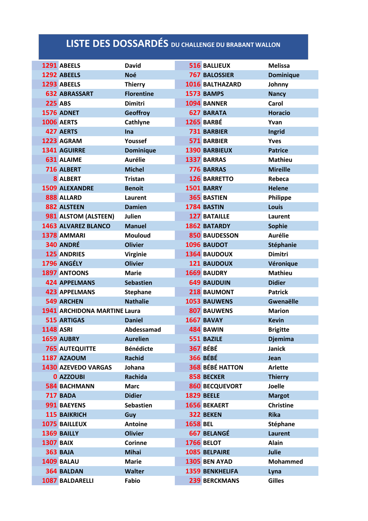## **LISTE DES DOSSARDÉS DU CHALLENGE DU BRABANT WALLON**

|                  | 1291 ABEELS                  | <b>David</b>      |                 | <b>516 BALLIEUX</b>    | <b>Melissa</b>   |
|------------------|------------------------------|-------------------|-----------------|------------------------|------------------|
|                  | 1292 ABEELS                  | <b>Noé</b>        |                 | <b>767 BALOSSIER</b>   | <b>Dominique</b> |
|                  | 1293 ABEELS                  | <b>Thierry</b>    |                 | 1016 BALTHAZARD        | Johnny           |
|                  | <b>632 ABRASSART</b>         | <b>Florentine</b> |                 | 1573 BAMPS             | <b>Nancy</b>     |
| <b>225 ABS</b>   |                              | <b>Dimitri</b>    |                 | 1094 BANNER            | Carol            |
|                  | 1576 ADNET                   | <b>Geoffroy</b>   |                 | <b>627 BARATA</b>      | <b>Horacio</b>   |
|                  | <b>1006 AERTS</b>            | Cathlyne          |                 | <b>1265 BARBÉ</b>      | Yvan             |
|                  | 427 AERTS                    | Ina               |                 | <b>731 BARBIER</b>     | <b>Ingrid</b>    |
|                  | 1223 AGRAM                   | Youssef           |                 | 571 BARBIER            | <b>Yves</b>      |
|                  | 1341 AGUIRRE                 | <b>Dominique</b>  |                 | <b>1390 BARBIEUX</b>   | <b>Patrice</b>   |
|                  | <b>631 ALAIME</b>            | <b>Aurélie</b>    |                 | 1337 BARRAS            | <b>Mathieu</b>   |
|                  | 716 ALBERT                   | <b>Michel</b>     |                 | 776 BARRAS             | <b>Mireille</b>  |
|                  | <b>8 ALBERT</b>              | <b>Tristan</b>    |                 | <b>126 BARRETTO</b>    | Rebeca           |
|                  | <b>1509 ALEXANDRE</b>        | <b>Benoit</b>     |                 | <b>1501 BARRY</b>      | <b>Helene</b>    |
|                  | 888 ALLARD                   | Laurent           |                 | <b>365 BASTIEN</b>     | Philippe         |
|                  | 882 ALSTEEN                  | <b>Damien</b>     |                 | 1784 BASTIN            | <b>Louis</b>     |
|                  | 981 ALSTOM (ALSTEEN)         | Julien            |                 | <b>127 BATAILLE</b>    | Laurent          |
|                  | 1463 ALVAREZ BLANCO          | <b>Manuel</b>     |                 | <b>1862 BATARDY</b>    | <b>Sophie</b>    |
|                  | 1378 AMMARI                  | <b>Mouloud</b>    |                 | <b>850 BAUDESSON</b>   | <b>Aurélie</b>   |
|                  | 340 ANDRÉ                    | <b>Olivier</b>    |                 | 1096 BAUDOT            | Stéphanie        |
|                  | <b>125 ANDRIES</b>           | <b>Virginie</b>   |                 | <b>1364 BAUDOUX</b>    | <b>Dimitri</b>   |
|                  | 1796 ANGÉLY                  | <b>Olivier</b>    |                 | <b>121 BAUDOUX</b>     | Véronique        |
|                  | 1897 ANTOONS                 | <b>Marie</b>      |                 | <b>1669 BAUDRY</b>     | <b>Mathieu</b>   |
|                  | <b>424 APPELMANS</b>         | <b>Sebastien</b>  |                 | <b>649 BAUDUIN</b>     | <b>Didier</b>    |
|                  | <b>423 APPELMANS</b>         | <b>Stephane</b>   |                 | 218 BAUMONT            | <b>Patrick</b>   |
|                  | <b>549 ARCHEN</b>            | <b>Nathalie</b>   |                 | <b>1053 BAUWENS</b>    | <b>Gwenaëlle</b> |
|                  | 1941 ARCHIDONA MARTINE Laura |                   |                 | <b>807 BAUWENS</b>     | <b>Marion</b>    |
|                  | <b>515 ARTIGAS</b>           | <b>Daniel</b>     |                 | <b>1667 BAVAY</b>      | <b>Kevin</b>     |
| <b>1148 ASRI</b> |                              | Abdessamad        |                 | 484 BAWIN              | <b>Brigitte</b>  |
|                  | 1659 AUBRY                   | <b>Aurelien</b>   |                 | 551 BAZILE             | <b>Djemima</b>   |
|                  | <b>765 AUTEQUITTE</b>        | <b>Bénédicte</b>  |                 | <b>367 BÉBÉ</b>        | Janick           |
|                  | 1187 AZAOUM                  | <b>Rachid</b>     |                 | <b>366 BÉBÉ</b>        | Jean             |
|                  | 1430 AZEVEDO VARGAS          | Johana            |                 | <b>368 BÉBÉ HATTON</b> | <b>Arlette</b>   |
|                  | <b>0 AZZOUBI</b>             | <b>Rachida</b>    |                 | 858 BECKER             | <b>Thierry</b>   |
|                  | <b>584 BACHMANN</b>          | <b>Marc</b>       |                 | <b>860 BECQUEVORT</b>  | <b>Joelle</b>    |
|                  | <b>717 BADA</b>              | <b>Didier</b>     |                 | <b>1829 BEELE</b>      | <b>Margot</b>    |
|                  | 991 BAEYENS                  | <b>Sebastien</b>  |                 | <b>1656 BEKAERT</b>    | <b>Christine</b> |
|                  | <b>115 BAIKRICH</b>          | Guy               |                 | 322 BEKEN              | <b>Rika</b>      |
|                  | 1075 BAILLEUX                | <b>Antoine</b>    | <b>1658 BEL</b> |                        | Stéphane         |
|                  | 1369 BAILLY                  | <b>Olivier</b>    |                 | <b>667 BELANGÉ</b>     | <b>Laurent</b>   |
| <b>1307 BAIX</b> |                              | <b>Corinne</b>    |                 | <b>1766 BELOT</b>      | Alain            |
|                  | <b>363 BAJA</b>              | <b>Mihai</b>      |                 | 1085 BELPAIRE          | <b>Julie</b>     |
|                  | 1409 BALAU                   | <b>Marie</b>      |                 | 1305 BEN AYAD          | <b>Mohammed</b>  |
|                  | 364 BALDAN                   | Walter            |                 | <b>1359 BENKHELIFA</b> | Lyna             |
|                  | 1087 BALDARELLI              | Fabio             |                 | <b>239 BERCKMANS</b>   | <b>Gilles</b>    |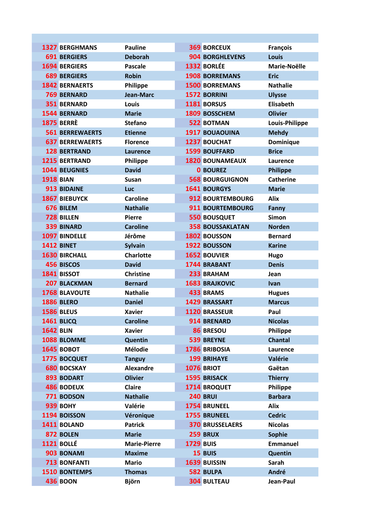|                  | <b>1327 BERGHMANS</b>  | <b>Pauline</b>      | <b>369 BORCEUX</b>      | <b>François</b>  |
|------------------|------------------------|---------------------|-------------------------|------------------|
|                  | <b>691 BERGIERS</b>    | <b>Deborah</b>      | <b>904 BORGHLEVENS</b>  | <b>Louis</b>     |
|                  | <b>1694 BERGIERS</b>   | <b>Pascale</b>      | 1332 BORLÉE             | Marie-Noëlle     |
|                  | <b>689 BERGIERS</b>    | <b>Robin</b>        | <b>1908 BORREMANS</b>   | <b>Eric</b>      |
|                  | <b>1842 BERNAERTS</b>  | <b>Philippe</b>     | <b>1500 BORREMANS</b>   | <b>Nathalie</b>  |
|                  | <b>769 BERNARD</b>     | <b>Jean-Marc</b>    | <b>1572 BORRINI</b>     | <b>Ulysse</b>    |
|                  | <b>351 BERNARD</b>     | Louis               | 1181 BORSUS             | <b>Elisabeth</b> |
|                  | 1544 BERNARD           | <b>Marie</b>        | 1809 BOSSCHEM           | <b>Olivier</b>   |
|                  | <b>1875 BERRÈ</b>      | <b>Stefano</b>      | <b>522 BOTMAN</b>       | Louis-Philippe   |
|                  | <b>561 BERREWAERTS</b> | <b>Etienne</b>      | <b>1917 BOUAOUINA</b>   | <b>Mehdy</b>     |
|                  | <b>637 BERREWAERTS</b> | <b>Florence</b>     | <b>1237 BOUCHAT</b>     | Dominique        |
|                  | <b>128 BERTRAND</b>    | Laurence            | <b>1599 BOUFFARD</b>    | <b>Brice</b>     |
|                  | <b>1215 BERTRAND</b>   | <b>Philippe</b>     | <b>1820 BOUNAMEAUX</b>  | Laurence         |
|                  | <b>1044 BEUGNIES</b>   | <b>David</b>        | <b>0 BOUREZ</b>         | <b>Philippe</b>  |
| <b>1918 BIAN</b> |                        | <b>Susan</b>        | <b>568 BOURGUIGNON</b>  | <b>Catherine</b> |
|                  | 913 BIDAINE            | Luc                 | <b>1641 BOURGYS</b>     | <b>Marie</b>     |
|                  | <b>1867 BIEBUYCK</b>   | <b>Caroline</b>     | 912 BOURTEMBOURG        | <b>Alix</b>      |
|                  | 676 BILEM              | <b>Nathalie</b>     | <b>911 BOURTEMBOURG</b> | Fanny            |
|                  | <b>728 BILLEN</b>      | <b>Pierre</b>       | <b>550 BOUSQUET</b>     | <b>Simon</b>     |
|                  | <b>339 BINARD</b>      | <b>Caroline</b>     | <b>358 BOUSSAKLATAN</b> | <b>Norden</b>    |
|                  | 1097 BINDELLE          | Jérôme              | 1802 BOUSSON            | <b>Bernard</b>   |
|                  | <b>1412 BINET</b>      | <b>Sylvain</b>      | 1922 BOUSSON            | <b>Karine</b>    |
|                  | <b>1630 BIRCHALL</b>   | <b>Charlotte</b>    | <b>1652 BOUVIER</b>     | Hugo             |
|                  | <b>456 BISCOS</b>      | <b>David</b>        | <b>1744 BRABANT</b>     | <b>Denis</b>     |
|                  | 1841 BISSOT            | <b>Christine</b>    | 233 BRAHAM              | Jean             |
|                  | 207 BLACKMAN           | <b>Bernard</b>      | <b>1683 BRAJKOVIC</b>   | <b>Ivan</b>      |
|                  | <b>1768 BLAVOUTE</b>   | <b>Nathalie</b>     | 433 BRAMS               | <b>Hugues</b>    |
|                  | <b>1886 BLERO</b>      | <b>Daniel</b>       | <b>1429 BRASSART</b>    | <b>Marcus</b>    |
|                  | <b>1586 BLEUS</b>      | <b>Xavier</b>       | 1120 BRASSEUR           | Paul             |
|                  | <b>1461 BLICQ</b>      | <b>Caroline</b>     | 914 BRENARD             | <b>Nicolas</b>   |
| <b>1642 BLIN</b> |                        | <b>Xavier</b>       | 86 BRESOU               | Philippe         |
|                  | 1088 BLOMME            | Quentin             | 539 BREYNE              | <b>Chantal</b>   |
|                  | <b>1645 BOBOT</b>      | <b>Mélodie</b>      | 1786 BRIBOSIA           | Laurence         |
|                  | 1775 BOCQUET           | <b>Tanguy</b>       | <b>199 BRIHAYE</b>      | Valérie          |
|                  | <b>680 BOCSKAY</b>     | <b>Alexandre</b>    | 1076 BRIOT              | Gaëtan           |
|                  | 893 BODART             | <b>Olivier</b>      | <b>1595 BRISACK</b>     | <b>Thierry</b>   |
|                  | <b>486 BODEUX</b>      | Claire              | 1714 BROQUET            | Philippe         |
|                  | 771 BODSON             | <b>Nathalie</b>     | <b>240 BRUI</b>         | <b>Barbara</b>   |
|                  | <b>939 BOHY</b>        | Valérie             | 1754 BRUNEEL            | <b>Alix</b>      |
|                  | 1194 BOISSON           | Véronique           | 1755 BRUNEEL            | <b>Cedric</b>    |
|                  | 1411 BOLAND            | <b>Patrick</b>      | <b>370 BRUSSELAERS</b>  | <b>Nicolas</b>   |
|                  | 872 BOLEN              | <b>Marie</b>        | <b>259 BRUX</b>         | <b>Sophie</b>    |
|                  | <b>1121 BOLLÉ</b>      | <b>Marie-Pierre</b> | <b>1729 BUIS</b>        | <b>Emmanuel</b>  |
|                  | 903 BONAMI             | <b>Maxime</b>       | 15 BUIS                 | Quentin          |
|                  | <b>713 BONFANTI</b>    | <b>Mario</b>        | 1639 BUISSIN            | Sarah            |
|                  | 1510 BONTEMPS          | <b>Thomas</b>       | 582 BULPA               | André            |
|                  | <b>436 BOON</b>        | <b>Björn</b>        | <b>304 BULTEAU</b>      | Jean-Paul        |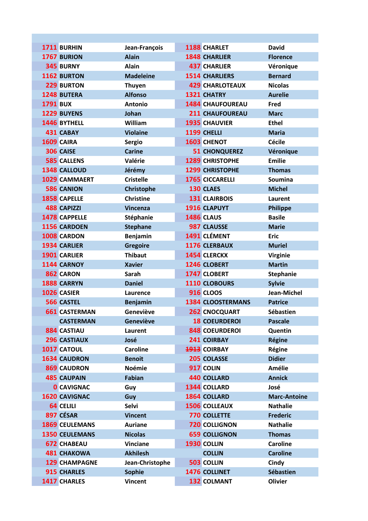|                 | 1711 BURHIN           | Jean-François     | 1188 CHARLET             | <b>David</b>        |
|-----------------|-----------------------|-------------------|--------------------------|---------------------|
|                 | 1767 BURION           | <b>Alain</b>      | <b>1848 CHARLIER</b>     | <b>Florence</b>     |
|                 | 345 BURNY             | <b>Alain</b>      | <b>437 CHARLIER</b>      | Véronique           |
|                 | 1162 BURTON           | <b>Madeleine</b>  | <b>1514 CHARLIERS</b>    | <b>Bernard</b>      |
|                 | 229 BURTON            | <b>Thuyen</b>     | <b>429 CHARLOTEAUX</b>   | <b>Nicolas</b>      |
|                 | <b>1248 BUTERA</b>    | <b>Alfonso</b>    | 1321 CHATRY              | <b>Aurelie</b>      |
| <b>1791 BUX</b> |                       | <b>Antonio</b>    | <b>1484 CHAUFOUREAU</b>  | Fred                |
|                 | 1229 BUYENS           | Johan             | <b>211 CHAUFOUREAU</b>   | <b>Marc</b>         |
|                 | 1446 BYTHELL          | William           | <b>1935 CHAUVIER</b>     | <b>Ethel</b>        |
|                 | 431 CABAY             | <b>Violaine</b>   | 1199 CHELLI              | <b>Maria</b>        |
|                 | 1609 CAIRA            | <b>Sergio</b>     | 1603 CHENOT              | <b>Cécile</b>       |
|                 | 306 CAISE             | <b>Carine</b>     | <b>51 CHONQUEREZ</b>     | Véronique           |
|                 | <b>585 CALLENS</b>    | Valérie           | <b>1289 CHRISTOPHE</b>   | <b>Emilie</b>       |
|                 | 1348 CALLOUD          | Jérémy            | <b>1299 CHRISTOPHE</b>   | <b>Thomas</b>       |
|                 | <b>1029 CAMMAERT</b>  | <b>Cristelle</b>  | <b>1765 CICCARELLI</b>   | <b>Soumina</b>      |
|                 | <b>586 CANION</b>     | <b>Christophe</b> | 130 CLAES                | <b>Michel</b>       |
|                 | <b>1858 CAPELLE</b>   | <b>Christine</b>  | <b>131 CLAIRBOIS</b>     | Laurent             |
|                 | <b>488 CAPIZZI</b>    | <b>Vincenza</b>   | 1916 CLAPUYT             | <b>Philippe</b>     |
|                 | 1478 CAPPELLE         | Stéphanie         | <b>1486 CLAUS</b>        | <b>Basile</b>       |
|                 | 1156 CARDOEN          | <b>Stephane</b>   | 987 CLAUSSE              | <b>Marie</b>        |
|                 | 1008 CARDON           | Benjamin          | 1491 CLÉMENT             | <b>Eric</b>         |
|                 | 1934 CARLIER          | <b>Gregoire</b>   | 1176 CLERBAUX            | <b>Muriel</b>       |
|                 | 1901 CARLIER          | <b>Thibaut</b>    | 1454 CLERCKX             | <b>Virginie</b>     |
|                 | 1144 CARNOY           | <b>Xavier</b>     | 1246 CLOBERT             | <b>Martin</b>       |
|                 | 862 CARON             | Sarah             | 1747 CLOBERT             | <b>Stephanie</b>    |
|                 | 1888 CARRYN           | <b>Daniel</b>     | 1110 CLOBOURS            | <b>Sylvie</b>       |
|                 | 1026 CASIER           | Laurence          | <b>916 CLOOS</b>         | Jean-Michel         |
|                 | <b>566 CASTEL</b>     | <b>Benjamin</b>   | <b>1384 CLOOSTERMANS</b> | <b>Patrice</b>      |
|                 | <b>661 CASTERMAN</b>  | Geneviève         | <b>262 CNOCQUART</b>     | <b>Sébastien</b>    |
|                 | <b>CASTERMAN</b>      | Geneviève         | <b>18 COEURDEROI</b>     | <b>Pascale</b>      |
|                 | <b>884 CASTIAU</b>    | Laurent           | <b>848 COEURDEROI</b>    | Quentin             |
|                 | <b>296 CASTIAUX</b>   | José              | 241 COIRBAY              | <b>Régine</b>       |
|                 | 1017 CATOUL           | <b>Caroline</b>   | <b>1913</b> COIRBAY      | Régine              |
|                 | <b>1634 CAUDRON</b>   | <b>Benoit</b>     | 205 COLASSE              | <b>Didier</b>       |
|                 | <b>869 CAUDRON</b>    | <b>Noémie</b>     | 917 COLIN                | Amélie              |
|                 | <b>485 CAUPAIN</b>    | Fabian            | <b>440 COLLARD</b>       | <b>Annick</b>       |
|                 | <b>0 CAVIGNAC</b>     | Guy               | 1344 COLLARD             | José                |
|                 | <b>1620 CAVIGNAC</b>  | Guy               | 1864 COLLARD             | <b>Marc-Antoine</b> |
|                 | 64 CELILI             | Selvi             | <b>1506 COLLEAUX</b>     | <b>Nathalie</b>     |
|                 | 897 CÉSAR             | <b>Vincent</b>    | <b>770 COLLETTE</b>      | <b>Frederic</b>     |
|                 | <b>1869 CEULEMANS</b> | <b>Auriane</b>    | <b>720 COLLIGNON</b>     | <b>Nathalie</b>     |
|                 | <b>1350 CEULEMANS</b> | <b>Nicolas</b>    | <b>659 COLLIGNON</b>     | <b>Thomas</b>       |
|                 | <b>672 CHABEAU</b>    | <b>Vinciane</b>   | 1930 COLLIN              | <b>Caroline</b>     |
|                 | <b>481 CHAKOWA</b>    | <b>Akhilesh</b>   | <b>COLLIN</b>            | <b>Caroline</b>     |
|                 | <b>129 CHAMPAGNE</b>  | Jean-Christophe   | 503 COLLIN               | Cindy               |
|                 | 915 CHARLES           | <b>Sophie</b>     | 1476 COLLINET            | Sébastien           |
|                 | 1417 CHARLES          | Vincent           | <b>132 COLMANT</b>       | <b>Olivier</b>      |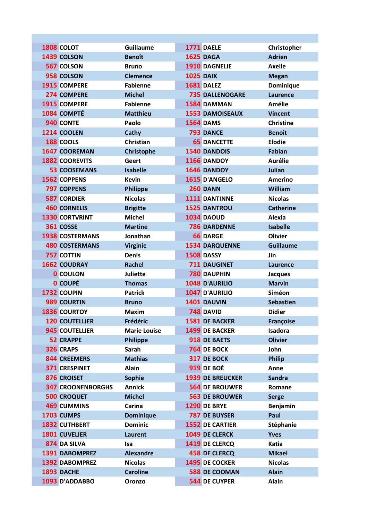| <b>1808 COLOT</b>        | <b>Guillaume</b>    | <b>1771 DAELE</b>       | Christopher      |
|--------------------------|---------------------|-------------------------|------------------|
| 1439 COLSON              | <b>Benoît</b>       | <b>1625 DAGA</b>        | <b>Adrien</b>    |
| 567 COLSON               | <b>Bruno</b>        | 1910 DAGNELIE           | <b>Axelle</b>    |
| 958 COLSON               | <b>Clemence</b>     | <b>1025 DAIX</b>        | <b>Megan</b>     |
| 1915 COMPERE             | <b>Fabienne</b>     | <b>1681 DALEZ</b>       | Dominique        |
| 274 COMPERE              | <b>Michel</b>       | <b>735 DALLENOGARE</b>  | <b>Laurence</b>  |
| 1915 COMPERE             | <b>Fabienne</b>     | 1584 DAMMAN             | <b>Amélie</b>    |
| 1084 COMPTÉ              | <b>Matthieu</b>     | <b>1553 DAMOISEAUX</b>  | <b>Vincent</b>   |
| 940 CONTE                | Paolo               | <b>1564 DAMS</b>        | <b>Christine</b> |
| 1214 COOLEN              | Cathy               | <b>793 DANCE</b>        | <b>Benoit</b>    |
| <b>188 COOLS</b>         | Christian           | <b>65 DANCETTE</b>      | <b>Elodie</b>    |
| <b>1647 COOREMAN</b>     | Christophe          | 1540 DANDOIS            | <b>Fabian</b>    |
| <b>1882 COOREVITS</b>    | Geert               | 1166 DANDOY             | <b>Aurélie</b>   |
| <b>53 COOSEMANS</b>      | <b>Isabelle</b>     | 1646 DANDOY             | Julian           |
| 1562 COPPENS             | <b>Kevin</b>        | 1615 D'ANGELO           | <b>Amerino</b>   |
| <b>797 COPPENS</b>       | <b>Philippe</b>     | <b>260 DANN</b>         | William          |
| <b>587 CORDIER</b>       | <b>Nicolas</b>      | 1111 DANTINNE           | <b>Nicolas</b>   |
| <b>460 CORNELIS</b>      | <b>Brigitte</b>     | 1525 DANTROU            | <b>Catherine</b> |
| <b>1330 CORTVRINT</b>    | <b>Michel</b>       | <b>1034 DAOUD</b>       | Alexia           |
| 361 COSSE                | <b>Martine</b>      | <b>786 DARDENNE</b>     | <b>Isabelle</b>  |
| <b>1938 COSTERMANS</b>   | Jonathan            | <b>66 DARGE</b>         | <b>Olivier</b>   |
| <b>480 COSTERMANS</b>    | <b>Virginie</b>     | <b>1534 DARQUENNE</b>   | <b>Guillaume</b> |
| <b>757 COTTIN</b>        | <b>Denis</b>        | 1508 DASSY              | Jin              |
| <b>1662 COUDRAY</b>      | <b>Rachel</b>       | <b>711 DAUGINET</b>     | <b>Laurence</b>  |
| <b>0 COULON</b>          | <b>Juliette</b>     | <b>780 DAUPHIN</b>      | <b>Jacques</b>   |
| <b>0 COUPÉ</b>           | <b>Thomas</b>       | 1048 D'AURILIO          | <b>Marvin</b>    |
| 1732 COUPIN              | <b>Patrick</b>      | 1047 D'AURILIO          | Siméon           |
| 989 COURTIN              | <b>Bruno</b>        | 1401 DAUVIN             | <b>Sebastien</b> |
| <b>1836 COURTOY</b>      | <b>Maxim</b>        | <b>748 DAVID</b>        | <b>Didier</b>    |
| <b>120 COUTELLIER</b>    | Frédéric            | 1581 DE BACKER          | <b>Françoise</b> |
| 945 COUTELLIER           | <b>Marie Louise</b> | <b>1499 DE BACKER</b>   | Isadora          |
| <b>52 CRAPPE</b>         | <b>Philippe</b>     | 918 DE BAETS            | <b>Olivier</b>   |
| 326 CRAPS                | Sarah               | 764 DE BOCK             | John             |
| 844 CREEMERS             | <b>Mathias</b>      | 317 DE BOCK             | <b>Philip</b>    |
| <b>371 CRESPINET</b>     | Alain               | <b>919 DE BOÉ</b>       | Anne             |
| 876 CROISET              | <b>Sophie</b>       | <b>1939 DE BREUCKER</b> | <b>Sandra</b>    |
| <b>347 CROONENBORGHS</b> | <b>Annick</b>       | <b>564 DE BROUWER</b>   | Romane           |
| <b>500 CROQUET</b>       | <b>Michel</b>       | <b>563 DE BROUWER</b>   | <b>Serge</b>     |
| <b>469 CUMMINS</b>       | Carina              | <b>1290 DE BRYE</b>     | Benjamin         |
| <b>1703 CUMPS</b>        | <b>Dominique</b>    | <b>787 DE BUYSER</b>    | Paul             |
| <b>1832 CUTHBERT</b>     | <b>Dominic</b>      | <b>1552 DE CARTIER</b>  | Stéphanie        |
| <b>1801 CUVELIER</b>     | <b>Laurent</b>      | 1049 DE CLERCK          | <b>Yves</b>      |
| 874 DA SILVA             | <b>Isa</b>          | 1419 DE CLERCQ          | Katia            |
| 1391 DABOMPREZ           | <b>Alexandre</b>    | <b>458 DE CLERCQ</b>    | <b>Mikael</b>    |
| <b>1392 DABOMPREZ</b>    | <b>Nicolas</b>      | <b>1495 DE COCKER</b>   | <b>Nicolas</b>   |
| 1893 DACHE               | <b>Caroline</b>     | <b>588 DE COOMAN</b>    | <b>Alain</b>     |
| 1093 D'ADDABBO           | Oronzo              | <b>544 DE CUYPER</b>    | <b>Alain</b>     |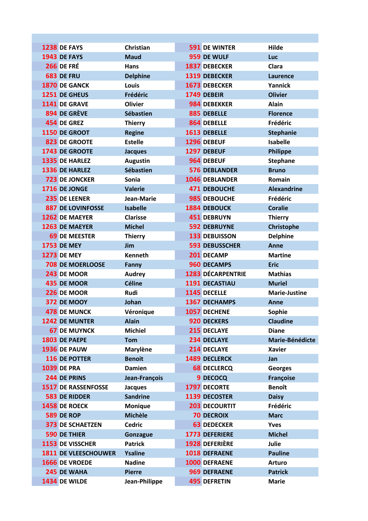| <b>1238 DE FAYS</b>                           | Christian       | <b>591 DE WINTER</b>           | Hilde                |
|-----------------------------------------------|-----------------|--------------------------------|----------------------|
| <b>1943 DE FAYS</b>                           | <b>Maud</b>     | 959 DE WULF                    | Luc                  |
| <b>266 DE FRÉ</b>                             | <b>Hans</b>     | 1837 DEBECKER                  | Clara                |
| 683 DE FRU                                    | <b>Delphine</b> | 1319 DEBECKER                  | Laurence             |
| 1870 DE GANCK                                 | Louis           | 1673 DEBECKER                  | Yannick              |
| 1251 DE GHEUS                                 | Frédéric        | 1749 DEBEIR                    | <b>Olivier</b>       |
| 1141 DE GRAVE                                 | <b>Olivier</b>  | 984 DEBEKKER                   | <b>Alain</b>         |
| 894 DE GRÈVE                                  | Sébastien       | 885 DEBELLE                    | <b>Florence</b>      |
| 454 DE GREZ                                   | <b>Thierry</b>  | 864 DEBELLE                    | Frédéric             |
| 1150 DE GROOT                                 | <b>Regine</b>   | 1613 DEBELLE                   | <b>Stephanie</b>     |
| <b>823 DE GROOTE</b>                          | <b>Estelle</b>  | 1296 DEBEUF                    | <b>Isabelle</b>      |
| 1743 DE GROOTE                                | <b>Jacques</b>  | 1297 DEBEUF                    | <b>Philippe</b>      |
| 1335 DE HARLEZ                                | <b>Augustin</b> | 964 DEBEUF                     | <b>Stephane</b>      |
| 1336 DE HARLEZ                                | Sébastien       | <b>576 DEBLANDER</b>           | <b>Bruno</b>         |
| <b>723 DE JONCKER</b>                         | Sonia           | <b>1046 DEBLANDER</b>          | Romain               |
| 1716 DE JONGE                                 | <b>Valerie</b>  | <b>471 DEBOUCHE</b>            | <b>Alexandrine</b>   |
| 235 DE LEENER                                 | Jean-Marie      | 985 DEBOUCHE                   | Frédéric             |
| <b>887 DE LOVINFOSSE</b>                      | <b>Isabelle</b> | <b>1884 DEBOUCK</b>            | <b>Coralie</b>       |
| <b>1262 DE MAEYER</b>                         | <b>Clarisse</b> | <b>451 DEBRUYN</b>             | <b>Thierry</b>       |
| <b>1263 DE MAEYER</b>                         | <b>Michel</b>   | <b>592 DEBRUYNE</b>            | Christophe           |
| <b>69 DE MEESTER</b>                          | <b>Thierry</b>  | <b>133 DEBUISSON</b>           | <b>Delphine</b>      |
| <b>1753 DE MEY</b>                            | Jim             | <b>593 DEBUSSCHER</b>          | Anne                 |
| <b>1273 DE MEY</b>                            | <b>Kenneth</b>  | 201 DECAMP                     | <b>Martine</b>       |
| <b>708 DE MOERLOOSE</b>                       | Fanny           | 960 DECAMPS                    | <b>Eric</b>          |
| 243 DE MOOR                                   | <b>Audrey</b>   | <b>1283 DÉCARPENTRIE</b>       | <b>Mathias</b>       |
| 435 DE MOOR                                   | <b>Céline</b>   | 1191 DECASTIAU                 | <b>Muriel</b>        |
| 226 DE MOOR                                   | Rudi            | 1145 DECELLE                   | <b>Marie-Justine</b> |
| <b>372 DE MOOY</b>                            | Johan           | <b>1367 DECHAMPS</b>           | Anne                 |
| <b>478 DE MUNCK</b>                           | Véronique       | 1057 DECHENE                   | Sophie               |
| <b>1242 DE MUNTER</b>                         | <b>Alain</b>    | 920 DECKERS                    | <b>Claudine</b>      |
| <b>67 DE MUYNCK</b>                           | <b>Michiel</b>  | 215 DECLAYE                    | <b>Diane</b>         |
| 1803 DE PAEPE                                 | <b>Tom</b>      | 234 DECLAYE                    | Marie-Bénédicte      |
| 1936 DE PAUW                                  | <b>Marylène</b> | 214 DECLAYE                    | <b>Xavier</b>        |
| <b>116 DE POTTER</b>                          | <b>Benoit</b>   | 1489 DECLERCK                  | Jan                  |
| <b>1039 DE PRA</b>                            | <b>Damien</b>   | <b>68 DECLERCQ</b>             | <b>Georges</b>       |
| 244 DE PRINS                                  | Jean-François   | 9 DECOCQ                       | <b>Françoise</b>     |
| <b>1517 DE RASSENFOSSE</b>                    | <b>Jacques</b>  | 1797 DECORTE                   | <b>Benoît</b>        |
| <b>583 DE RIDDER</b>                          | <b>Sandrine</b> | <b>1139 DECOSTER</b>           | <b>Daisy</b>         |
| 1458 DE ROECK                                 | <b>Monique</b>  | <b>203 DECOURTIT</b>           | Frédéric             |
| <b>589 DE ROP</b>                             | <b>Michèle</b>  | <b>70 DECROIX</b>              | <b>Marc</b>          |
| <b>373 DE SCHAETZEN</b>                       | <b>Cedric</b>   | <b>63 DEDECKER</b>             | <b>Yves</b>          |
| <b>590 DE THIER</b>                           | Gonzague        | 1773 DEFERIERE                 | <b>Michel</b>        |
| 1153 DE VISSCHER                              | <b>Patrick</b>  | <b>1928 DEFERIÈRE</b>          | Julie                |
| <b>1811 DE VLEESCHOUWER</b><br>1666 DE VROEDE | <b>Ysaline</b>  | 1018 DEFRAENE<br>1000 DEFRAENE | <b>Pauline</b>       |
|                                               | <b>Nadine</b>   |                                | <b>Arturo</b>        |
| 245 DE WAHA                                   | <b>Pierre</b>   | 969 DEFRAENE                   | <b>Patrick</b>       |
| 1434 DE WILDE                                 | Jean-Philippe   | <b>495 DEFRETIN</b>            | <b>Marie</b>         |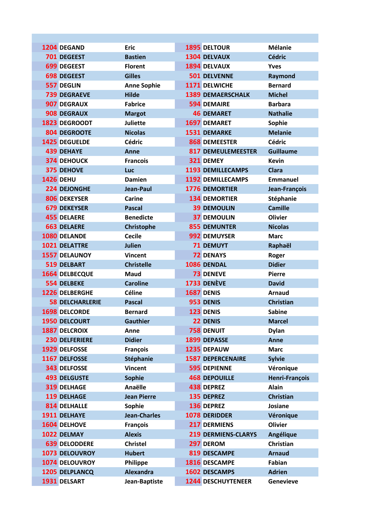| 1204 DEGAND            | <b>Eric</b>         | <b>1895 DELTOUR</b>        | <b>Mélanie</b>   |
|------------------------|---------------------|----------------------------|------------------|
| 701 DEGEEST            | <b>Bastien</b>      | 1304 DELVAUX               | <b>Cédric</b>    |
| 699 DEGEEST            | <b>Florent</b>      | 1894 DELVAUX               | <b>Yves</b>      |
| <b>698 DEGEEST</b>     | <b>Gilles</b>       | <b>501 DELVENNE</b>        | Raymond          |
| 557 DEGLIN             | <b>Anne Sophie</b>  | 1171 DELWICHE              | <b>Bernard</b>   |
| <b>739 DEGRAEVE</b>    | <b>Hilde</b>        | <b>1389 DEMAERSCHALK</b>   | <b>Michel</b>    |
| 907 DEGRAUX            | <b>Fabrice</b>      | <b>594 DEMAIRE</b>         | <b>Barbara</b>   |
| <b>908 DEGRAUX</b>     | <b>Margot</b>       | <b>46 DEMARET</b>          | <b>Nathalie</b>  |
| <b>1823 DEGROODT</b>   | <b>Juliette</b>     | 1697 DEMARET               | Sophie           |
| 804 DEGROOTE           | <b>Nicolas</b>      | 1531 DEMARKE               | <b>Melanie</b>   |
| <b>1425 DEGUELDE</b>   | <b>Cédric</b>       | 868 DEMEESTER              | <b>Cédric</b>    |
| <b>439 DEHAYE</b>      | Anne                | <b>817 DEMEULEMEESTER</b>  | <b>Guillaume</b> |
| <b>374 DEHOUCK</b>     | <b>Francois</b>     | 321 DEMEY                  | <b>Kevin</b>     |
| <b>375 DEHOVE</b>      | Luc                 | <b>1193 DEMILLECAMPS</b>   | <b>Clara</b>     |
| <b>1426 DEHU</b>       | <b>Damien</b>       | <b>1192 DEMILLECAMPS</b>   | <b>Emmanuel</b>  |
| 224 DEJONGHE           | Jean-Paul           | <b>1776 DEMORTIER</b>      | Jean-François    |
| 806 DEKEYSER           | Carine              | <b>134 DEMORTIER</b>       | Stéphanie        |
| <b>679 DEKEYSER</b>    | <b>Pascal</b>       | <b>39 DEMOULIN</b>         | <b>Camille</b>   |
| <b>455 DELAERE</b>     | <b>Benedicte</b>    | <b>37 DEMOULIN</b>         | <b>Olivier</b>   |
| <b>663 DELAERE</b>     | Christophe          | <b>855 DEMUNTER</b>        | <b>Nicolas</b>   |
| 1080 DELANDE           | <b>Cecile</b>       | 992 DEMUYSER               | <b>Marc</b>      |
| 1021 DELATTRE          | Julien              | <b>71 DEMUYT</b>           | Raphaël          |
| <b>1557 DELAUNOY</b>   | <b>Vincent</b>      | <b>72 DENAYS</b>           | Roger            |
| <b>519 DELBART</b>     | <b>Christelle</b>   | 1086 DENDAL                | <b>Didier</b>    |
| <b>1664 DELBECQUE</b>  | Maud                | <b>73 DENEVE</b>           | <b>Pierre</b>    |
| <b>554 DELBEKE</b>     | <b>Caroline</b>     | 1733 DENÈVE                | <b>David</b>     |
| 1226 DELBERGHE         | <b>Céline</b>       | 1687 DENIS                 | <b>Arnaud</b>    |
| <b>58 DELCHARLERIE</b> | <b>Pascal</b>       | 953 DENIS                  | <b>Christian</b> |
| <b>1698 DELCORDE</b>   | <b>Bernard</b>      | 123 DENIS                  | <b>Sabine</b>    |
| 1950 DELCOURT          | <b>Gauthier</b>     | 22 DENIS                   | <b>Marcel</b>    |
| <b>1887 DELCROIX</b>   | Anne                | <b>758 DENUIT</b>          | <b>Dylan</b>     |
| <b>230 DELFERIERE</b>  | <b>Didier</b>       | 1899 DEPASSE               | Anne             |
| 1929 DELFOSSE          | <b>François</b>     | 1235 DEPAUW                | <b>Marc</b>      |
| 1167 DELFOSSE          | <b>Stéphanie</b>    | <b>1587 DEPERCENAIRE</b>   | <b>Sylvie</b>    |
| <b>343 DELFOSSE</b>    | <b>Vincent</b>      | <b>595 DEPIENNE</b>        | Véronique        |
| <b>493 DELGUSTE</b>    | <b>Sophie</b>       | <b>468 DEPOUILLE</b>       | Henri-François   |
| <b>319 DELHAGE</b>     | Anaëlle             | 438 DEPREZ                 | <b>Alain</b>     |
| 119 DELHAGE            | <b>Jean Pierre</b>  | 135 DEPREZ                 | <b>Christian</b> |
| 814 DELHALLE           | Sophie              | 136 DEPREZ                 | Josiane          |
| 1911 DELHAYE           | <b>Jean-Charles</b> | 1078 DERIDDER              | Véronique        |
| 1604 DELHOVE           | <b>François</b>     | <b>217 DERMIENS</b>        | <b>Olivier</b>   |
| 1022 DELMAY            | <b>Alexis</b>       | <b>219 DERMIENS-CLARYS</b> | Angélique        |
| <b>639 DELODDERE</b>   | <b>Christel</b>     | 297 DEROM                  | Christian        |
| <b>1073 DELOUVROY</b>  | <b>Hubert</b>       | 819 DESCAMPE               | <b>Arnaud</b>    |
| 1074 DELOUVROY         | Philippe            | 1816 DESCAMPE              | Fabian           |
| 1205 DELPLANCQ         | <b>Alexandra</b>    | 1602 DESCAMPS              | <b>Adrien</b>    |
| 1931 DELSART           | Jean-Baptiste       | <b>1244 DESCHUYTENEER</b>  | <b>Genevieve</b> |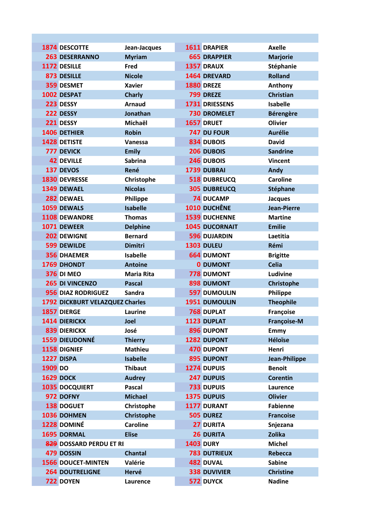| <b>1874 DESCOTTE</b>            | Jean-Jacques      |                   | 1611 DRAPIER          | <b>Axelle</b>      |
|---------------------------------|-------------------|-------------------|-----------------------|--------------------|
| <b>263 DESERRANNO</b>           | <b>Myriam</b>     |                   | <b>665 DRAPPIER</b>   | <b>Marjorie</b>    |
| 1172 DESILLE                    | Fred              |                   | 1357 DRAUX            | Stéphanie          |
| 873 DESILLE                     | <b>Nicole</b>     |                   | 1464 DREVARD          | <b>Rolland</b>     |
| 359 DESMET                      | <b>Xavier</b>     | <b>1880 DREZE</b> |                       | Anthony            |
| 1002 DESPAT                     | <b>Charly</b>     |                   | 799 DREZE             | <b>Christian</b>   |
| 223 DESSY                       | <b>Arnaud</b>     |                   | 1731 DRIESSENS        | <b>Isabelle</b>    |
| 222 DESSY                       | Jonathan          |                   | <b>730 DROMELET</b>   | <b>Bérengère</b>   |
| 221 DESSY                       | Michaël           | 1657 DRUET        |                       | <b>Olivier</b>     |
| 1406 DETHIER                    | <b>Robin</b>      |                   | 747 DU FOUR           | <b>Aurélie</b>     |
| 1428 DETISTE                    | Vanessa           |                   | 834 DUBOIS            | <b>David</b>       |
| 777 DEVICK                      | <b>Emily</b>      |                   | 206 DUBOIS            | <b>Sandrine</b>    |
| <b>42 DEVILLE</b>               | <b>Sabrina</b>    |                   | 246 DUBOIS            | <b>Vincent</b>     |
| 137 DEVOS                       | René              |                   | 1739 DUBRAI           | Andy               |
| 1830 DEVRESSE                   | Christophe        |                   | 518 DUBREUCQ          | <b>Caroline</b>    |
| 1349 DEWAEL                     | <b>Nicolas</b>    |                   | <b>305 DUBREUCQ</b>   | Stéphane           |
| 282 DEWAEL                      | Philippe          |                   | <b>74 DUCAMP</b>      | <b>Jacques</b>     |
| 1059 DEWALS                     | <b>Isabelle</b>   |                   | 1010 DUCHÊNE          | <b>Jean-Pierre</b> |
| <b>1108 DEWANDRE</b>            | <b>Thomas</b>     |                   | <b>1539 DUCHENNE</b>  | <b>Martine</b>     |
| 1071 DEWEER                     | <b>Delphine</b>   |                   | <b>1045 DUCORNAIT</b> | <b>Emilie</b>      |
| 202 DEWIGNE                     | <b>Bernard</b>    |                   | <b>596 DUJARDIN</b>   | Laetitia           |
| <b>599 DEWILDE</b>              | <b>Dimitri</b>    | <b>1303 DULEU</b> |                       | Rémi               |
| <b>356 DHAEMER</b>              | <b>Isabelle</b>   |                   | <b>664 DUMONT</b>     | <b>Brigitte</b>    |
| 1769 DHONDT                     | <b>Antoine</b>    |                   | <b>0 DUMONT</b>       | <b>Celia</b>       |
| <b>376 DI MEO</b>               | <b>Maria Rita</b> |                   | <b>778 DUMONT</b>     | Ludivine           |
| 265 DI VINCENZO                 | <b>Pascal</b>     |                   | 898 DUMONT            | Christophe         |
| 956 DIAZ RODRIGUEZ              | Sandra            |                   | <b>597 DUMOULIN</b>   | Philippe           |
| 1792 DICKBURT VELAZQUEZ Charles |                   |                   | 1951 DUMOULIN         | <b>Theophile</b>   |
| 1857 DIERGE                     | Laurine           |                   | <b>768 DUPLAT</b>     | Françoise          |
| <b>1414 DIERICKX</b>            | Joel              |                   | <b>1123 DUPLAT</b>    | Françoise-M        |
| <b>839 DIERICKX</b>             | José              |                   | 896 DUPONT            | Emmy               |
| 1559 DIEUDONNÉ                  | <b>Thierry</b>    |                   | 1282 DUPONT           | <b>Héloïse</b>     |
| 1158 DIGNIEF                    | <b>Mathieu</b>    |                   | <b>470 DUPONT</b>     | Henri              |
| 1227 DISPA                      | <b>Isabelle</b>   |                   | 895 DUPONT            | Jean-Philippe      |
| 1909 DO                         | <b>Thibaut</b>    |                   | 1274 DUPUIS           | <b>Benoit</b>      |
| <b>1629 DOCK</b>                | <b>Audrey</b>     |                   | 247 DUPUIS            | <b>Corentin</b>    |
| <b>1035 DOCQUIERT</b>           | <b>Pascal</b>     |                   | <b>733 DUPUIS</b>     | Laurence           |
| 972 DOFNY                       | <b>Michael</b>    |                   | 1375 DUPUIS           | <b>Olivier</b>     |
| <b>138 DOGUET</b>               | Christophe        |                   | 1177 DURANT           | <b>Fabienne</b>    |
| 1036 DOHMEN                     | <b>Christophe</b> |                   | 505 DUREZ             | <b>Francoise</b>   |
| 1228 DOMINÉ                     | <b>Caroline</b>   |                   | <b>27 DURITA</b>      | Snjezana           |
| 1695 DORMAL                     | <b>Elise</b>      |                   | <b>26 DURITA</b>      | <b>Zolika</b>      |
| 829 DOSSARD PERDU ET RI         |                   | <b>1403 DURY</b>  |                       | <b>Michel</b>      |
| 479 DOSSIN                      | <b>Chantal</b>    |                   | <b>783 DUTRIEUX</b>   | Rebecca            |
| <b>1566 DOUCET-MINTEN</b>       | Valérie           |                   | 482 DUVAL             | <b>Sabine</b>      |
| <b>264 DOUTRELIGNE</b>          | Hervé             |                   | <b>338 DUVIVIER</b>   | <b>Christine</b>   |
| 722 DOYEN                       | Laurence          |                   | 572 DUYCK             | <b>Nadine</b>      |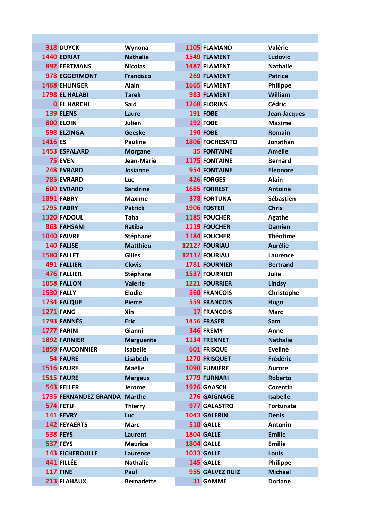|                  | 318 DUYCK                    | Wynona            | 1105 FLAMAND         | Valérie         |
|------------------|------------------------------|-------------------|----------------------|-----------------|
|                  | <b>1440 EDRIAT</b>           | <b>Nathalie</b>   | <b>1549 FLAMENT</b>  | <b>Ludovic</b>  |
|                  | <b>892 EERTMANS</b>          | <b>Nicolas</b>    | 1487 FLAMENT         | <b>Nathalie</b> |
|                  | 978 EGGERMONT                | <b>Francisco</b>  | 269 FLAMENT          | <b>Patrice</b>  |
|                  | <b>1468 EHLINGER</b>         | <b>Alain</b>      | <b>1665 FLAMENT</b>  | Philippe        |
|                  | 1798 EL HALABI               | <b>Tarek</b>      | 983 FLAMENT          | William         |
|                  | <b>O</b> EL HARCHI           | <b>Said</b>       | 1268 FLORINS         | <b>Cédric</b>   |
|                  | <b>139 ELENS</b>             | Laure             | <b>191 FOBE</b>      | Jean-Jacques    |
|                  | 800 ELOIN                    | Julien            | <b>192 FOBE</b>      | <b>Maxime</b>   |
|                  | <b>598 ELZINGA</b>           | <b>Geeske</b>     | <b>190 FOBE</b>      | <b>Romain</b>   |
| 1416 ES          |                              | <b>Pauline</b>    | 1806 FOCHESATO       | Jonathan        |
|                  | <b>1453 ESPALARD</b>         | <b>Morgane</b>    | <b>35 FONTAINE</b>   | <b>Amélie</b>   |
|                  | <b>75 EVEN</b>               | Jean-Marie        | 1175 FONTAINE        | <b>Bernard</b>  |
|                  | 248 EVRARD                   | Josianne          | <b>954 FONTAINE</b>  | <b>Eleonore</b> |
|                  | <b>785 EVRARD</b>            | <b>Luc</b>        | <b>426 FORGES</b>    | <b>Alain</b>    |
|                  | <b>600 EVRARD</b>            | <b>Sandrine</b>   | <b>1685 FORREST</b>  | <b>Antoine</b>  |
|                  | 1891 FABRY                   | <b>Maxime</b>     | <b>378 FORTUNA</b>   | Sébastien       |
|                  | <b>1795 FABRY</b>            | <b>Patrick</b>    | 1906 FOSTER          | <b>Chris</b>    |
|                  | <b>1320 FADOUL</b>           | <b>Taha</b>       | 1185 FOUCHER         | <b>Agathe</b>   |
|                  | 863 FAHSANI                  | Ratiba            | 1119 FOUCHER         | <b>Damien</b>   |
|                  | 1040 FAIVRE                  | Stéphane          | 1184 FOUCHER         | <b>Théotime</b> |
|                  | 140 FALISE                   | <b>Matthieu</b>   | 1212? FOURIAU        | <b>Aurélie</b>  |
|                  | 1580 FALLET                  | <b>Gilles</b>     | 1211? FOURIAU        | Laurence        |
|                  | <b>491 FALLIER</b>           | <b>Clovis</b>     | <b>1781 FOURNIER</b> | <b>Bertrand</b> |
|                  | <b>476 FALLIER</b>           | Stéphane          | <b>1537 FOURNIER</b> | Julie           |
|                  | 1058 FALLON                  | <b>Valerie</b>    | <b>1221 FOURRIER</b> | <b>Lindsy</b>   |
|                  | <b>1530 FALLY</b>            | <b>Elodie</b>     | <b>560 FRANCOIS</b>  | Christophe      |
|                  | 1734 FALQUE                  | <b>Pierre</b>     | <b>559 FRANCOIS</b>  | <b>Hugo</b>     |
| <b>1271 FANG</b> |                              | Xin               | <b>17 FRANCOIS</b>   | <b>Marc</b>     |
|                  | 1793 FANNÈS                  | <b>Eric</b>       | 1456 FRASER          | Sam             |
|                  | 1777 FARINI                  | <b>Gianni</b>     | 346 FREMY            | Anne            |
|                  | <b>1892 FARNIER</b>          | <b>Marguerite</b> | 1134 FRENNET         | <b>Nathalie</b> |
|                  | <b>1859 FAUCONNIER</b>       | <b>Isabelle</b>   | <b>601 FRISQUE</b>   | <b>Eveline</b>  |
|                  | <b>54 FAURE</b>              | Lisabeth          | 1270 FRISQUET        | Frédéric        |
|                  | <b>1516 FAURE</b>            | Maëlle            | 1090 FUMIÈRE         | <b>Aurore</b>   |
|                  | 1515 FAURE                   | <b>Margaux</b>    | 1779 FURNARI         | <b>Roberto</b>  |
|                  | 543 FELLER                   | Jerome            | 1926 GAASCH          | <b>Corentin</b> |
|                  | 1735 FERNANDEZ GRANDA Marthe |                   | 276 GAIGNAGE         | <b>Isabelle</b> |
|                  | 574 FETU                     | <b>Thierry</b>    | 977 GALASTRO         | Fortunata       |
|                  | 141 FEVRY                    | <b>Luc</b>        | 1043 GALERIN         | <b>Denis</b>    |
|                  | <b>142 FEYAERTS</b>          | <b>Marc</b>       | 510 GALLE            | <b>Antonin</b>  |
|                  | <b>538 FEYS</b>              | <b>Laurent</b>    | 1804 GALLE           | <b>Emilie</b>   |
|                  | <b>537 FEYS</b>              | <b>Maurice</b>    | 1804 GALLE           | <b>Emilie</b>   |
|                  | <b>143 FICHEROULLE</b>       | Laurence          | <b>1033 GALLE</b>    | <b>Louis</b>    |
|                  | 441 FILLÉE                   | <b>Nathalie</b>   | 145 GALLE            | Philippe        |
|                  | <b>117 FINE</b>              | Paul              | 955 GÁLVEZ RUIZ      | <b>Michael</b>  |
|                  | 213 FLAHAUX                  | <b>Bernadette</b> | 31 GAMME             | <b>Doriane</b>  |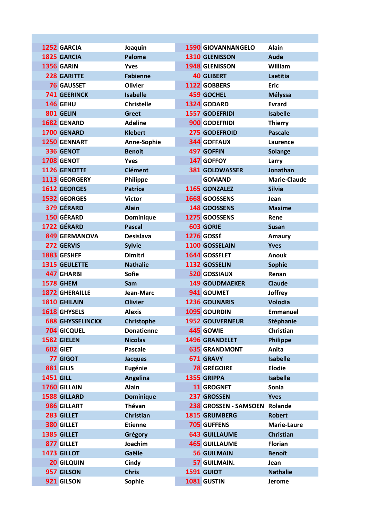| 1252 GARCIA             | Joaquin           | <b>1590 GIOVANNANGELO</b> | <b>Alain</b>        |
|-------------------------|-------------------|---------------------------|---------------------|
| 1825 GARCIA             | Paloma            | 1310 GLENISSON            | <b>Aude</b>         |
| <b>1356 GARIN</b>       | <b>Yves</b>       | 1948 GLENISSON            | William             |
| 228 GARITTE             | <b>Fabienne</b>   | <b>40 GLIBERT</b>         | Laetitia            |
| <b>76 GAUSSET</b>       | <b>Olivier</b>    | 1122 GOBBERS              | <b>Eric</b>         |
| <b>741 GEERINCK</b>     | <b>Isabelle</b>   | <b>459 GOCHEL</b>         | <b>Mélyssa</b>      |
| 146 GEHU                | <b>Christelle</b> | 1324 GODARD               | <b>Evrard</b>       |
| 801 GELIN               | <b>Greet</b>      | 1557 GODEFRIDI            | <b>Isabelle</b>     |
| 1682 GENARD             | <b>Adeline</b>    | 900 GODEFRIDI             | <b>Thierry</b>      |
| 1700 GENARD             | <b>Klebert</b>    | 275 GODEFROID             | <b>Pascale</b>      |
| 1250 GENNART            | Anne-Sophie       | <b>344 GOFFAUX</b>        | Laurence            |
| 336 GENOT               | <b>Benoit</b>     | <b>497 GOFFIN</b>         | <b>Solange</b>      |
| 1708 GENOT              | Yves              | 147 GOFFOY                | Larry               |
| 1126 GENOTTE            | <b>Clément</b>    | <b>381 GOLDWASSER</b>     | Jonathan            |
| 1113 GEORGERY           | <b>Philippe</b>   | <b>GOMAND</b>             | <b>Marie-Claude</b> |
| <b>1612 GEORGES</b>     | <b>Patrice</b>    | 1165 GONZALEZ             | <b>Silvia</b>       |
| <b>1532 GEORGES</b>     | <b>Victor</b>     | <b>1668 GOOSSENS</b>      | Jean                |
| 379 GÉRARD              | <b>Alain</b>      | 148 GOOSSENS              | <b>Maxime</b>       |
| <b>150 GÉRARD</b>       | Dominique         | 1275 GOOSSENS             | Rene                |
| 1722 GÉRARD             | <b>Pascal</b>     | <b>603 GORIE</b>          | <b>Susan</b>        |
| <b>849 GERMANOVA</b>    | <b>Desislava</b>  | <b>1276 GOSSÉ</b>         | Amaury              |
| 272 GERVIS              | <b>Sylvie</b>     | 1100 GOSSELAIN            | <b>Yves</b>         |
| 1883 GESHEF             | <b>Dimitri</b>    | <b>1644 GOSSELET</b>      | <b>Anouk</b>        |
| <b>1315 GEULETTE</b>    | <b>Nathalie</b>   | 1132 GOSSELIN             | <b>Sophie</b>       |
| <b>447 GHARBI</b>       | <b>Sofie</b>      | <b>520 GOSSIAUX</b>       | Renan               |
| <b>1578 GHEM</b>        | Sam               | <b>149 GOUDMAEKER</b>     | <b>Claude</b>       |
| <b>1872 GHERAILLE</b>   | Jean-Marc         | 941 GOUMET                | Joffrey             |
| 1810 GHILAIN            | <b>Olivier</b>    | <b>1236 GOUNARIS</b>      | <b>Volodia</b>      |
| 1618 GHYSELS            | <b>Alexis</b>     | <b>1095 GOURDIN</b>       | <b>Emmanuel</b>     |
| <b>688 GHYSSELINCKX</b> | Christophe        | <b>1952 GOUVERNEUR</b>    | <b>Stéphanie</b>    |
| <b>704 GICQUEL</b>      | <b>Donatienne</b> | 445 GOWIE                 | <b>Christian</b>    |
| 1582 GIELEN             | <b>Nicolas</b>    | <b>1496 GRANDELET</b>     | <b>Philippe</b>     |
| 602 GIET                | <b>Pascale</b>    | <b>635 GRANDMONT</b>      | Anita               |
| 77 GIGOT                | <b>Jacques</b>    | 671 GRAVY                 | <b>Isabelle</b>     |
| 881 GILIS               | Eugénie           | <b>78 GRÉGOIRE</b>        | <b>Elodie</b>       |
| <b>1451 GILL</b>        | <b>Angelina</b>   | 1355 GRIPPA               | <b>Isabelle</b>     |
| 1760 GILLAIN            | <b>Alain</b>      | <b>11 GROGNET</b>         | Sonia               |
| <b>1588 GILLARD</b>     | <b>Dominique</b>  | 237 GROSSEN               | <b>Yves</b>         |
| 986 GILLART             | <b>Thévan</b>     | 238 GROSSEN - SAMSOEN     | Rolande             |
| 283 GILLET              | <b>Christian</b>  | <b>1815 GRUMBERG</b>      | <b>Robert</b>       |
| 380 GILLET              | <b>Etienne</b>    | <b>705 GUFFENS</b>        | <b>Marie-Laure</b>  |
| 1385 GILLET             | Grégory           | <b>643 GUILLAUME</b>      | <b>Christian</b>    |
| 877 GILLET              | Joachim           | <b>465 GUILLAUME</b>      | <b>Florian</b>      |
| 1473 GILLOT             | Gaëlle            | <b>56 GUILMAIN</b>        | <b>Benoît</b>       |
| <b>20 GILQUIN</b>       | Cindy             | 57 GUILMAIN.              | Jean                |
| 957 GILSON              | <b>Chris</b>      | 1591 GUIOT                | <b>Nathalie</b>     |
| 921 GILSON              | Sophie            | 1081 GUSTIN               | <b>Jerome</b>       |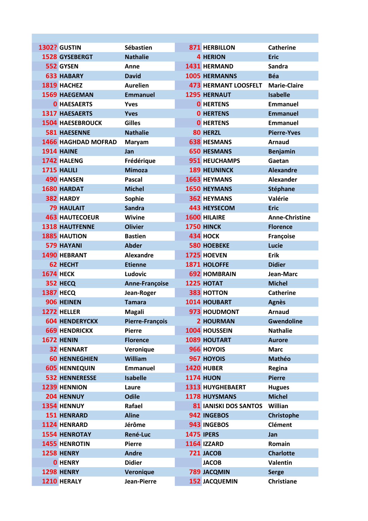| <b>1302? GUSTIN</b>                               | Sébastien                          | <b>871 HERBILLON</b>               | <b>Catherine</b>                   |
|---------------------------------------------------|------------------------------------|------------------------------------|------------------------------------|
| <b>1528 GYSEBERGT</b>                             | <b>Nathalie</b>                    | <b>4 HERION</b>                    | <b>Eric</b>                        |
| 552 GYSEN                                         | Anne                               | 1431 HERMAND                       | Sandra                             |
| <b>633 HABARY</b>                                 | <b>David</b>                       | <b>1005 HERMANNS</b>               | <b>Béa</b>                         |
| 1819 HACHEZ                                       | <b>Aurelien</b>                    | <b>473 HERMANT LOOSFELT</b>        | <b>Marie-Claire</b>                |
| <b>1569 HAEGEMAN</b>                              | <b>Emmanuel</b>                    | <b>1295 HERNAUT</b>                | <b>Isabelle</b>                    |
| <b>0 HAESAERTS</b>                                | <b>Yves</b>                        | <b>O</b> HERTENS                   | <b>Emmanuel</b>                    |
| <b>1317 HAESAERTS</b>                             | <b>Yves</b><br><b>Gilles</b>       | <b>0 HERTENS</b>                   | <b>Emmanuel</b><br><b>Emmanuel</b> |
| <b>1504 HAESEBROUCK</b>                           |                                    | <b>O</b> HERTENS                   |                                    |
| <b>581 HAESENNE</b><br><b>1466 HAGHDAD MOFRAD</b> | <b>Nathalie</b>                    | 80 HERZL<br><b>638 HESMANS</b>     | <b>Pierre-Yves</b>                 |
| <b>1914 HAINE</b>                                 | <b>Maryam</b>                      | <b>650 HESMANS</b>                 | <b>Arnaud</b>                      |
| 1742 HALENG                                       | Jan                                | 951 HEUCHAMPS                      | <b>Benjamin</b>                    |
|                                                   | Frédérique<br><b>Mimoza</b>        | <b>189 HEUNINCK</b>                | Gaetan<br><b>Alexandre</b>         |
| 1715 HALILI<br><b>490 HANSEN</b>                  |                                    | <b>1663 HEYMANS</b>                | <b>Alexander</b>                   |
|                                                   | <b>Pascal</b><br><b>Michel</b>     |                                    |                                    |
| 1680 HARDAT<br>382 HARDY                          |                                    | 1650 HEYMANS<br><b>362 HEYMANS</b> | <b>Stéphane</b><br>Valérie         |
| <b>79 HAULAIT</b>                                 | Sophie<br><b>Sandra</b>            | <b>443 HEYSECOM</b>                | <b>Eric</b>                        |
| <b>463 HAUTECOEUR</b>                             | Wivine                             | 1600 HILAIRE                       | <b>Anne-Christine</b>              |
| <b>1318 HAUTFENNE</b>                             | <b>Olivier</b>                     | <b>1750 HINCK</b>                  |                                    |
| <b>1885 HAUTION</b>                               | <b>Bastien</b>                     | <b>434 НОСК</b>                    | <b>Florence</b>                    |
| <b>579 HAYANI</b>                                 | <b>Abder</b>                       | <b>580 HOEBEKE</b>                 | Françoise<br>Lucie                 |
| 1490 HEBRANT                                      |                                    | 1725 HOEVEN                        |                                    |
| 62 HECHT                                          | <b>Alexandre</b><br><b>Etienne</b> | 1871 HOLOFFE                       | <b>Erik</b><br><b>Didier</b>       |
| <b>1674 НЕСК</b>                                  | Ludovic                            | <b>692 HOMBRAIN</b>                | Jean-Marc                          |
| 352 HECQ                                          |                                    | 1225 HOTAT                         | <b>Michel</b>                      |
| <b>1387 HECQ</b>                                  | Anne-Françoise                     | <b>383 HOTTON</b>                  | <b>Catherine</b>                   |
| 906 HEINEN                                        | Jean-Roger<br><b>Tamara</b>        | 1014 HOUBART                       | <b>Agnès</b>                       |
| 1272 HELLER                                       | <b>Magali</b>                      | 973 HOUDMONT                       | <b>Arnaud</b>                      |
| <b>604 HENDERYCKX</b>                             | Pierre-François                    | <b>2 HOURMAN</b>                   | <b>Gwendoline</b>                  |
| <b>669 HENDRICKX</b>                              | <b>Pierre</b>                      | 1004 HOUSSEIN                      | <b>Nathalie</b>                    |
| <b>1672 HENIN</b>                                 | <b>Florence</b>                    | 1089 HOUTART                       | <b>Aurore</b>                      |
| <b>32 HENNART</b>                                 | Veronique                          | 966 HOYOIS                         | <b>Marc</b>                        |
| <b>60 HENNEGHIEN</b>                              | William                            | 967 HOYOIS                         | <b>Mathéo</b>                      |
| <b>605 HENNEQUIN</b>                              | <b>Emmanuel</b>                    | 1420 HUBER                         | Regina                             |
| <b>532 HENNERESSE</b>                             | <b>Isabelle</b>                    | <b>1174 HUON</b>                   | <b>Pierre</b>                      |
| <b>1239 HENNION</b>                               | Laure                              | <b>1313 HUYGHEBAERT</b>            | <b>Hugues</b>                      |
| 204 HENNUY                                        | <b>Odile</b>                       | <b>1178 HUYSMANS</b>               | <b>Michel</b>                      |
| 1354 HENNUY                                       | Rafael                             | <b>81 IANISKI DOS SANTOS</b>       | Willian                            |
| <b>151 HENRARD</b>                                | <b>Aline</b>                       | 942 INGEBOS                        | Christophe                         |
| 1124 HENRARD                                      | Jérôme                             | 943 INGEBOS                        | <b>Clément</b>                     |
| <b>1554 HENROTAY</b>                              | René-Luc                           | <b>1475 IPERS</b>                  | Jan                                |
| <b>1455 HENROTIN</b>                              | <b>Pierre</b>                      | <b>1164 IZZARD</b>                 | Romain                             |
| <b>1258 HENRY</b>                                 | <b>Andre</b>                       | 721 JACOB                          | <b>Charlotte</b>                   |
| <b>O</b> HENRY                                    | <b>Didier</b>                      | <b>JACOB</b>                       | <b>Valentin</b>                    |
| <b>1298 HENRY</b>                                 | Veronique                          | <b>789 JACQMIN</b>                 | <b>Serge</b>                       |
| 1210 HERALY                                       | Jean-Pierre                        | <b>152 JACQUEMIN</b>               | <b>Christiane</b>                  |
|                                                   |                                    |                                    |                                    |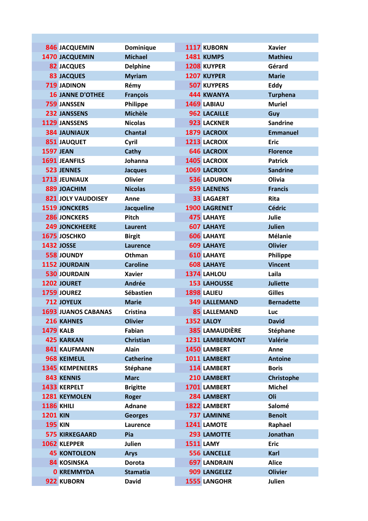|                   | <b>846 JACQUEMIN</b>       | Dominique         | 1117 KUBORN            | <b>Xavier</b>     |
|-------------------|----------------------------|-------------------|------------------------|-------------------|
|                   | 1470 JACQUEMIN             | <b>Michael</b>    | 1481 KUMPS             | <b>Mathieu</b>    |
|                   | <b>82 JACQUES</b>          | <b>Delphine</b>   | 1208 KUYPER            | Gérard            |
|                   | <b>83 JACQUES</b>          | <b>Myriam</b>     | 1207 KUYPER            | <b>Marie</b>      |
|                   | <b>719 JADINON</b>         | Rémy              | <b>507 KUYPERS</b>     | Eddy              |
|                   | <b>16 JANNE D'OTHEE</b>    | <b>François</b>   | <b>444 KWANYA</b>      | <b>Turphena</b>   |
|                   | 759 JANSSEN                | Philippe          | 1469 LABIAU            | <b>Muriel</b>     |
|                   | 232 JANSSENS               | <b>Michèle</b>    | 962 LACAILLE           | Guy               |
|                   | 1129 JANSSENS              | <b>Nicolas</b>    | 923 LACKNER            | <b>Sandrine</b>   |
|                   | <b>384 JAUNIAUX</b>        | <b>Chantal</b>    | 1879 LACROIX           | <b>Emmanuel</b>   |
|                   | <b>851 JAUQUET</b>         | Cyril             | 1213 LACROIX           | <b>Eric</b>       |
| <b>1597 JEAN</b>  |                            | Cathy             | <b>646 LACROIX</b>     | <b>Florence</b>   |
|                   | <b>1691 JEANFILS</b>       | Johanna           | 1405 LACROIX           | <b>Patrick</b>    |
|                   | <b>523 JENNES</b>          | <b>Jacques</b>    | 1069 LACROIX           | <b>Sandrine</b>   |
|                   | 1713 JEUNIAUX              | <b>Olivier</b>    | <b>536 LADURON</b>     | Olivia            |
|                   | <b>889 JOACHIM</b>         | <b>Nicolas</b>    | <b>859 LAENENS</b>     | <b>Francis</b>    |
|                   | <b>821 JOLY VAUDOISEY</b>  | Anne              | <b>33 LAGAERT</b>      | <b>Rita</b>       |
|                   | <b>1519 JONCKERS</b>       | <b>Jacqueline</b> | 1900 LAGRENET          | <b>Cédric</b>     |
|                   | 286 JONCKERS               | Pitch             | <b>475 LAHAYE</b>      | Julie             |
|                   | <b>249 JONCKHEERE</b>      | Laurent           | <b>607 LAHAYE</b>      | <b>Julien</b>     |
|                   | 1675 JOSCHKO               | <b>Birgit</b>     | <b>606 LAHAYE</b>      | <b>Mélanie</b>    |
|                   | <b>1432 JOSSE</b>          | Laurence          | <b>609 LAHAYE</b>      | <b>Olivier</b>    |
|                   | <b>558 JOUNDY</b>          | Othman            | <b>610 LAHAYE</b>      | Philippe          |
|                   | 1152 JOURDAIN              | <b>Caroline</b>   | <b>608 LAHAYE</b>      | <b>Vincent</b>    |
|                   | <b>530 JOURDAIN</b>        | <b>Xavier</b>     | 1374 LAHLOU            | Laila             |
|                   | 1202 JOURET                | Andrée            | <b>153 LAHOUSSE</b>    | <b>Juliette</b>   |
|                   | 1759 JOUREZ                | Sébastien         | 1898 LALIEU            | <b>Gilles</b>     |
|                   | 712 JOYEUX                 | <b>Marie</b>      | <b>349 LALLEMAND</b>   | <b>Bernadette</b> |
|                   | <b>1693 JUANOS CABANAS</b> | <b>Cristina</b>   | <b>85 LALLEMAND</b>    | Luc               |
|                   | 216 KAHNES                 | <b>Olivier</b>    | <b>1352 LALOY</b>      | <b>David</b>      |
|                   | <b>1479 KALB</b>           | Fabian            | <b>385 LAMAUDIÈRE</b>  | Stéphane          |
|                   | <b>425 KARKAN</b>          | <b>Christian</b>  | <b>1231 LAMBERMONT</b> | Valérie           |
|                   | <b>841 KAUFMANN</b>        | <b>Alain</b>      | 1450 LAMBERT           | Anne              |
|                   | 968 KEIMEUL                | <b>Catherine</b>  | 1011 LAMBERT           | <b>Antoine</b>    |
|                   | <b>1345 KEMPENEERS</b>     | Stéphane          | 114 LAMBERT            | <b>Boris</b>      |
|                   | 843 KENNIS                 | <b>Marc</b>       | 210 LAMBERT            | Christophe        |
|                   | 1433 KERPELT               | <b>Brigitte</b>   | 1701 LAMBERT           | <b>Michel</b>     |
|                   | 1281 KEYMOLEN              | <b>Roger</b>      | 284 LAMBERT            | Oli               |
| <b>1186 KHILI</b> |                            | <b>Adnane</b>     | 1822 LAMBERT           | Salomé            |
| <b>1201 KIN</b>   |                            | <b>Georges</b>    | <b>737 LAMINNE</b>     | <b>Benoit</b>     |
| <b>195 KIN</b>    |                            | Laurence          | 1241 LAMOTE            | Raphael           |
|                   | <b>575 KIRKEGAARD</b>      | Pia               | 293 LAMOTTE            | Jonathan          |
|                   | 1062 KLEPPER               | Julien            | <b>1511 LAMY</b>       | <b>Eric</b>       |
|                   | <b>45 KONTOLEON</b>        | <b>Arys</b>       | <b>556 LANCELLE</b>    | <b>Karl</b>       |
|                   | <b>84 KOSINSKA</b>         | <b>Dorota</b>     | <b>697 LANDRAIN</b>    | <b>Alice</b>      |
|                   | <b>0 KREMMYDA</b>          | <b>Stamatia</b>   | 909 LANGELEZ           | <b>Olivier</b>    |
|                   | 922 KUBORN                 | <b>David</b>      | 1555 LANGOHR           | <b>Julien</b>     |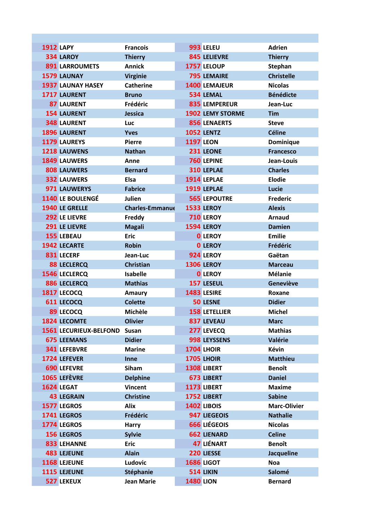| <b>1912 LAPY</b>             | <b>Francois</b>        | 993 LELEU               | <b>Adrien</b>       |
|------------------------------|------------------------|-------------------------|---------------------|
| 334 LAROY                    | <b>Thierry</b>         | <b>845 LELIEVRE</b>     | <b>Thierry</b>      |
| <b>891 LARROUMETS</b>        | <b>Annick</b>          | 1757 LELOUP             | Stephan             |
| 1579 LAUNAY                  | <b>Virginie</b>        | <b>795 LEMAIRE</b>      | <b>Christelle</b>   |
| <b>1937 LAUNAY HASEY</b>     | <b>Catherine</b>       | <b>1400 LEMAJEUR</b>    | <b>Nicolas</b>      |
| 1717 LAURENT                 | <b>Bruno</b>           | 534 LEMAL               | <b>Bénédicte</b>    |
| <b>87 LAURENT</b>            | Frédéric               | 835 LEMPEREUR           | Jean-Luc            |
| <b>154 LAURENT</b>           | Jessica                | <b>1902 LEMY STORME</b> | <b>Tim</b>          |
| <b>348 LAURENT</b>           | Luc                    | <b>856 LENAERTS</b>     | <b>Steve</b>        |
| 1896 LAURENT                 | <b>Yves</b>            | <b>1052 LENTZ</b>       | <b>Céline</b>       |
| 1179 LAUREYS                 | <b>Pierre</b>          | <b>1197 LEON</b>        | Dominique           |
| 1218 LAUWENS                 | <b>Nathan</b>          | 231 LEONE               | <b>Francesco</b>    |
| <b>1849 LAUWERS</b>          | Anne                   | 760 LEPINE              | Jean-Louis          |
| <b>808 LAUWERS</b>           | <b>Bernard</b>         | 310 LEPLAE              | <b>Charles</b>      |
| <b>332 LAUWERS</b>           | Elsa                   | 1914 LEPLAE             | <b>Elodie</b>       |
| 971 LAUWERYS                 | <b>Fabrice</b>         | 1919 LEPLAE             | <b>Lucie</b>        |
| 1140 LE BOULENGÉ             | Julien                 | <b>565 LEPOUTRE</b>     | <b>Frederic</b>     |
| 1940 LE GRELLE               | <b>Charles-Emmanue</b> | <b>1533 LEROY</b>       | <b>Alexis</b>       |
| 292 LE LIEVRE                | Freddy                 | 710 LEROY               | <b>Arnaud</b>       |
| 291 LE LIEVRE                | <b>Magali</b>          | <b>1594 LEROY</b>       | <b>Damien</b>       |
| 155 LEBEAU                   | <b>Eric</b>            | <b>0 LEROY</b>          | <b>Emilie</b>       |
| <b>1942 LECARTE</b>          | <b>Robin</b>           | <b>0 LEROY</b>          | Frédéric            |
| 831 LECERF                   | Jean-Luc               | 924 LEROY               | Gaëtan              |
| <b>88 LECLERCQ</b>           | <b>Christian</b>       | <b>1306 LEROY</b>       | <b>Marceau</b>      |
| <b>1546 LECLERCQ</b>         | <b>Isabelle</b>        | <b>0 LEROY</b>          | <b>Mélanie</b>      |
| 886 LECLERCQ                 | <b>Mathias</b>         | 157 LESEUL              | Geneviève           |
| 1817 LECOCQ                  | <b>Amaury</b>          | 1483 LESIRE             | Roxane              |
| 611 LECOCQ                   | <b>Colette</b>         | <b>50 LESNE</b>         | <b>Didier</b>       |
| 89 LECOCQ                    | Michèle                | <b>158 LETELLIER</b>    | <b>Michel</b>       |
| <b>1824 LECOMTE</b>          | <b>Olivier</b>         | 837 LEVEAU              | <b>Marc</b>         |
| 1561 LECURIEUX-BELFOND Susan |                        | 277 LEVECQ              | <b>Mathias</b>      |
| <b>675 LEEMANS</b>           | <b>Didier</b>          | 998 LEYSSENS            | Valérie             |
| <b>341 LEFEBVRE</b>          | <b>Marine</b>          | <b>1704 LHOIR</b>       | <b>Kévin</b>        |
| 1724 LEFEVER                 | Inne                   | 1705 LHOIR              | <b>Matthieu</b>     |
| <b>690 LEFEVRE</b>           | Siham                  | 1308 LIBERT             | <b>Benoît</b>       |
| 1065 LEFÈVRE                 | <b>Delphine</b>        | 673 LIBERT              | <b>Daniel</b>       |
| 1624 LEGAT                   | <b>Vincent</b>         | 1173 LIBERT             | <b>Maxime</b>       |
| <b>43 LEGRAIN</b>            | <b>Christine</b>       | 1752 LIBERT             | <b>Sabine</b>       |
| 1577 LEGROS                  | Alix                   | <b>1402 LIBOIS</b>      | <b>Marc-Olivier</b> |
| 1741 LEGROS                  | Frédéric               | 947 LIEGEOIS            | <b>Nathalie</b>     |
| 1774 LEGROS                  | <b>Harry</b>           | 666 LIÉGEOIS            | <b>Nicolas</b>      |
| <b>156 LEGROS</b>            | <b>Sylvie</b>          | <b>662 LIENARD</b>      | <b>Celine</b>       |
| 833 LEHANNE                  | <b>Eric</b>            | 47 LIÉNART              | <b>Benoît</b>       |
| <b>483 LEJEUNE</b>           | <b>Alain</b>           | 220 LIESSE              | <b>Jacqueline</b>   |
| 1168 LEJEUNE                 | Ludovic                | <b>1686 LIGOT</b>       | <b>Noa</b>          |
| 1115 LEJEUNE                 | Stéphanie              | <b>514 LIKIN</b>        | Salomé              |
| <b>527 LEKEUX</b>            | <b>Jean Marie</b>      | <b>1480 LION</b>        | <b>Bernard</b>      |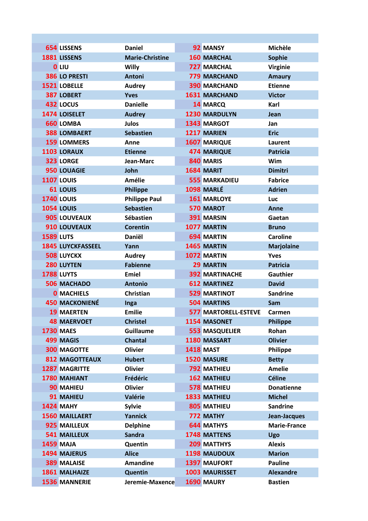|                  | <b>654 LISSENS</b>       | <b>Daniel</b>          | 92 MANSY                    | <b>Michèle</b>      |
|------------------|--------------------------|------------------------|-----------------------------|---------------------|
|                  | 1881 LISSENS             | <b>Marie-Christine</b> | <b>160 MARCHAL</b>          | <b>Sophie</b>       |
|                  | <b>O</b> LIU             | <b>Willy</b>           | <b>727 MARCHAL</b>          | <b>Virginie</b>     |
|                  | 386 LO PRESTI            | <b>Antoni</b>          | <b>779 MARCHAND</b>         | <b>Amaury</b>       |
|                  | 1521 LOBELLE             | <b>Audrey</b>          | <b>390 MARCHAND</b>         | <b>Etienne</b>      |
|                  | 387 LOBERT               | <b>Yves</b>            | <b>1631 MARCHAND</b>        | <b>Victor</b>       |
|                  | 432 LOCUS                | <b>Danielle</b>        | 14 MARCQ                    | Karl                |
|                  | 1474 LOISELET            | <b>Audrey</b>          | <b>1230 MARDULYN</b>        | Jean                |
|                  | <b>660 LOMBA</b>         | <b>Julos</b>           | 1343 MARGOT                 | Jan                 |
|                  | <b>388 LOMBAERT</b>      | <b>Sebastien</b>       | 1217 MARIEN                 | <b>Eric</b>         |
|                  | <b>159 LOMMERS</b>       | Anne                   | <b>1607 MARIQUE</b>         | Laurent             |
|                  | 1103 LORAUX              | <b>Etienne</b>         | <b>474 MARIQUE</b>          | <b>Patricia</b>     |
|                  | 323 LORGE                | Jean-Marc              | 840 MARIS                   | Wim                 |
|                  | <b>950 LOUAGIE</b>       | John                   | 1684 MARIT                  | <b>Dimitri</b>      |
|                  | <b>1107 LOUIS</b>        | Amélie                 | <b>555 MARKADIEU</b>        | <b>Fabrice</b>      |
|                  | 61 LOUIS                 | <b>Philippe</b>        | 1098 MARLÉ                  | <b>Adrien</b>       |
|                  | <b>1740 LOUIS</b>        | <b>Philippe Paul</b>   | <b>161 MARLOYE</b>          | <b>Luc</b>          |
|                  | <b>1054 LOUIS</b>        | <b>Sebastien</b>       | 570 MAROT                   | Anne                |
|                  | 905 LOUVEAUX             | Sébastien              | 391 MARSIN                  | Gaetan              |
|                  | 910 LOUVEAUX             | <b>Corentin</b>        | 1077 MARTIN                 | <b>Bruno</b>        |
| <b>1589 LUTS</b> |                          | <b>Daniël</b>          | <b>694 MARTIN</b>           | <b>Caroline</b>     |
|                  | <b>1845 LUYCKFASSEEL</b> | Yann                   | 1465 MARTIN                 | <b>Marjolaine</b>   |
|                  | <b>508 LUYCKX</b>        | <b>Audrey</b>          | 1072 MARTIN                 | <b>Yves</b>         |
|                  | 280 LUYTEN               | <b>Fabienne</b>        | <b>29 MARTIN</b>            | <b>Patricia</b>     |
|                  | 1788 LUYTS               | <b>Emiel</b>           | <b>392 MARTINACHE</b>       | Gauthier            |
|                  | <b>506 MACHADO</b>       | <b>Antonio</b>         | <b>612 MARTINEZ</b>         | <b>David</b>        |
|                  | <b>0 MACHIELS</b>        | <b>Christian</b>       | <b>529 MARTINOT</b>         | <b>Sandrine</b>     |
|                  | <b>450 MACKONIENÉ</b>    | Inga                   | <b>504 MARTINS</b>          | Sam                 |
|                  | <b>19 MAERTEN</b>        | <b>Emilie</b>          | <b>577 MARTORELL-ESTEVE</b> | Carmen              |
|                  | <b>48 MAERVOET</b>       | <b>Christel</b>        | 1154 MASONET                | <b>Philippe</b>     |
|                  | <b>1730 MAES</b>         | <b>Guillaume</b>       | <b>553 MASQUELIER</b>       | Rohan               |
|                  | 499 MAGIS                | <b>Chantal</b>         | 1180 MASSART                | <b>Olivier</b>      |
|                  | <b>300 MAGOTTE</b>       | <b>Olivier</b>         | <b>1418 MAST</b>            | Philippe            |
|                  | <b>812 MAGOTTEAUX</b>    | <b>Hubert</b>          | 1520 MASURE                 | <b>Betty</b>        |
|                  | <b>1287 MAGRITTE</b>     | <b>Olivier</b>         | <b>792 MATHIEU</b>          | <b>Amelie</b>       |
|                  | 1780 MAHIANT             | Frédéric               | <b>162 MATHIEU</b>          | <b>Céline</b>       |
|                  | 90 MAHIEU                | <b>Olivier</b>         | 578 MATHIEU                 | <b>Donatienne</b>   |
|                  | 91 MAHIEU                | Valérie                | 1833 MATHIEU                | <b>Michel</b>       |
|                  | <b>1424 MAHY</b>         | <b>Sylvie</b>          | 805 MATHIEU                 | <b>Sandrine</b>     |
|                  | <b>1560 MAILLAERT</b>    | <b>Yannick</b>         | 772 MATHY                   | Jean-Jacques        |
|                  | 925 MAILLEUX             | <b>Delphine</b>        | <b>644 MATHYS</b>           | <b>Marie-France</b> |
|                  | <b>541 MAILLEUX</b>      | <b>Sandra</b>          | <b>1748 MATTENS</b>         | Ugo                 |
|                  | <b>1459 MAJA</b>         | Quentin                | 209 MATTHYS                 | <b>Alexis</b>       |
|                  | 1494 MAJERUS             | <b>Alice</b>           | 1198 MAUDOUX                | <b>Marion</b>       |
|                  | <b>389 MALAISE</b>       | <b>Amandine</b>        | <b>1397 MAUFORT</b>         | <b>Pauline</b>      |
|                  | 1861 MALHAIZE            | Quentin                | <b>1003 MAURISSET</b>       | <b>Alexandre</b>    |
|                  | <b>1536 MANNERIE</b>     | Jeremie-Maxence        | 1690 MAURY                  | <b>Bastien</b>      |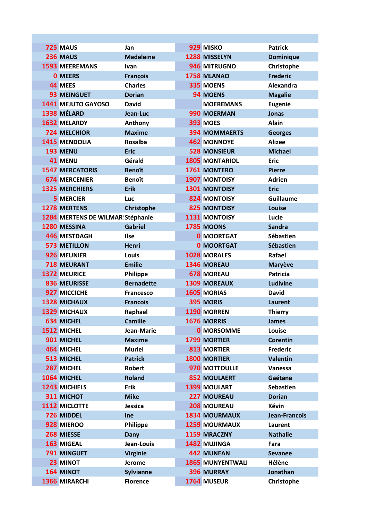| 725 MAUS                          | Jan               | 929 MISKO               | <b>Patrick</b>   |
|-----------------------------------|-------------------|-------------------------|------------------|
| 236 MAUS                          | <b>Madeleine</b>  | 1288 MISSELYN           | <b>Dominique</b> |
| <b>1593 MEEREMANS</b>             | Ivan              | 946 MITRUGNO            | Christophe       |
| <b>0 MEERS</b>                    | <b>François</b>   | 1758 MLANAO             | <b>Frederic</b>  |
| 44 MEES                           | <b>Charles</b>    | 335 MOENS               | Alexandra        |
| <b>93 MEINGUET</b>                | <b>Dorian</b>     | <b>94 MOENS</b>         | <b>Magalie</b>   |
| 1441 MEJUTO GAYOSO                | <b>David</b>      | <b>MOEREMANS</b>        | <b>Eugenie</b>   |
| 1338 MÉLARD                       | Jean-Luc          | 990 MOERMAN             | <b>Jonas</b>     |
| 1632 MELARDY                      | Anthony           | <b>393 MOES</b>         | <b>Alain</b>     |
| <b>724 MELCHIOR</b>               | <b>Maxime</b>     | <b>394 MOMMAERTS</b>    | <b>Georges</b>   |
| 1415 MENDOLIA                     | <b>Rosalba</b>    | <b>462 MONNOYE</b>      | <b>Alizee</b>    |
| 193 MENU                          | <b>Eric</b>       | <b>528 MONSIEUR</b>     | <b>Michael</b>   |
| <b>41 MENU</b>                    | Gérald            | <b>1805 MONTARIOL</b>   | <b>Eric</b>      |
| <b>1547 MERCATORIS</b>            | <b>Benoît</b>     | 1761 MONTERO            | <b>Pierre</b>    |
| <b>674 MERCENIER</b>              | <b>Benoît</b>     | <b>1907 MONTOISY</b>    | <b>Adrien</b>    |
| <b>1325 MERCHIERS</b>             | <b>Erik</b>       | 1301 MONTOISY           | <b>Eric</b>      |
| <b>5 MERCIER</b>                  | <b>Luc</b>        | <b>824 MONTOISY</b>     | <b>Guillaume</b> |
| <b>1278 MERTENS</b>               | Christophe        | <b>825 MONTOISY</b>     | Louise           |
| 1284 MERTENS DE WILMAR! Stéphanie |                   | 1131 MONTOISY           | Lucie            |
| 1280 MESSINA                      | <b>Gabriel</b>    | 1785 MOONS              | <b>Sandra</b>    |
| <b>446 MESTDAGH</b>               | <b>Ilse</b>       | <b>0 MOORTGAT</b>       | Sébastien        |
| <b>573 METILLON</b>               | Henri             | <b>0 MOORTGAT</b>       | Sébastien        |
| 926 MEUNIER                       | Louis             | 1028 MORALES            | Rafael           |
| <b>718 MEURANT</b>                | <b>Emilie</b>     | 1346 MOREAU             | <b>Maryève</b>   |
| <b>1372 MEURICE</b>               | Philippe          | <b>678 MOREAU</b>       | <b>Patricia</b>  |
| 836 MEURISSE                      | <b>Bernadette</b> | <b>1309 MOREAUX</b>     | <b>Ludivine</b>  |
| 927 MICCICHE                      | <b>Francesco</b>  | <b>1605 MORIAS</b>      | <b>David</b>     |
| <b>1328 MICHAUX</b>               | <b>Francois</b>   | 395 MORIS               | <b>Laurent</b>   |
| <b>1329 MICHAUX</b>               | Raphael           | 1190 MORREN             | <b>Thierry</b>   |
| <b>634 MICHEL</b>                 | <b>Camille</b>    | <b>1676 MORRIS</b>      | <b>James</b>     |
| 1512 MICHEL                       | Jean-Marie        | <b>0</b> MORSOMME       | Louise           |
| 901 MICHEL                        | <b>Maxime</b>     | 1799 MORTIER            | <b>Corentin</b>  |
| 464 MICHEL                        | <b>Muriel</b>     | <b>813 MORTIER</b>      | <b>Frederic</b>  |
| 513 MICHEL                        | <b>Patrick</b>    | <b>1800 MORTIER</b>     | <b>Valentin</b>  |
| 287 MICHEL                        | <b>Robert</b>     | 970 MOTTOULLE           | Vanessa          |
| 1064 MICHEL                       | <b>Roland</b>     | <b>852 MOULAERT</b>     | Gaétane          |
| 1243 MICHIELS                     | <b>Erik</b>       | <b>1399 MOULART</b>     | <b>Sebastien</b> |
| 311 MICHOT                        | <b>Mike</b>       | 227 MOUREAU             | <b>Dorian</b>    |
| 1112 MICLOTTE                     | Jessica           | 208 MOUREAU             | <b>Kévin</b>     |
| 726 MIDDEL                        | Ine               | <b>1834 MOURMAUX</b>    | Jean-Francois    |
| 928 MIEROO                        | Philippe          | <b>1259 MOURMAUX</b>    | Laurent          |
| 268 MIESSE                        | <b>Dany</b>       | 1159 MRACZNY            | <b>Nathalie</b>  |
| 163 MIGEAL                        | Jean-Louis        | 1482 MUJINGA            | Fara             |
| 791 MINGUET                       | <b>Virginie</b>   | <b>442 MUNEAN</b>       | <b>Sevanee</b>   |
| 23 MINOT                          | Jerome            | <b>1865 MUNYENTWALI</b> | Hélène           |
| 164 MINOT                         | <b>Sylvianne</b>  | <b>396 MURRAY</b>       | Jonathan         |
| 1366 MIRARCHI                     | <b>Florence</b>   | 1764 MUSEUR             | Christophe       |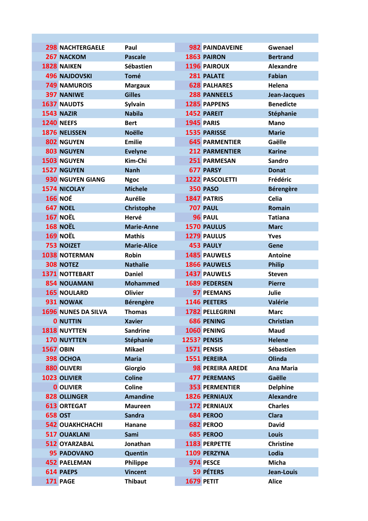|                  | <b>298 NACHTERGAELE</b>    | Paul               | <b>982 PAINDAVEINE</b>  | Gwenael          |
|------------------|----------------------------|--------------------|-------------------------|------------------|
|                  | 267 NACKOM                 | <b>Pascale</b>     | 1863 PAIRON             | <b>Bertrand</b>  |
|                  | 1828 NAIKEN                | <b>Sébastien</b>   | 1196 PAIROUX            | <b>Alexandre</b> |
|                  | <b>496 NAJDOVSKI</b>       | <b>Tomé</b>        | 281 PALATE              | <b>Fabian</b>    |
|                  | <b>749 NAMUROIS</b>        | <b>Margaux</b>     | <b>628 PALHARES</b>     | Helena           |
|                  | <b>397 NANIWE</b>          | <b>Gilles</b>      | 288 PANNEELS            | Jean-Jacques     |
|                  | <b>1637 NAUDTS</b>         | <b>Sylvain</b>     | 1285 PAPPENS            | <b>Benedicte</b> |
|                  | <b>1543 NAZIR</b>          | <b>Nabila</b>      | 1452 PAREIT             | Stéphanie        |
|                  | <b>1240 NEEFS</b>          | <b>Bert</b>        | <b>1945 PARIS</b>       | <b>Mano</b>      |
|                  | 1876 NELISSEN              | <b>Noëlle</b>      | 1535 PARISSE            | <b>Marie</b>     |
|                  | 802 NGUYEN                 | <b>Emilie</b>      | <b>645 PARMENTIER</b>   | Gaëlle           |
|                  | 803 NGUYEN                 | <b>Evelyne</b>     | <b>212 PARMENTIER</b>   | <b>Karine</b>    |
|                  | 1503 NGUYEN                | Kim-Chi            | 251 PARMESAN            | Sandro           |
|                  | 1527 NGUYEN                | <b>Nanh</b>        | <b>677 PARSY</b>        | <b>Donat</b>     |
|                  | <b>930 NGUYEN GIANG</b>    | <b>Ngoc</b>        | <b>1222 PASCOLETTI</b>  | Frédéric         |
|                  | <b>1574 NICOLAY</b>        | <b>Michele</b>     | <b>350 PASO</b>         | <b>Bérengère</b> |
|                  | <b>166 NOÉ</b>             | <b>Aurélie</b>     | 1847 PATRIS             | <b>Celia</b>     |
|                  | 647 NOEL                   | Christophe         | <b>707 PAUL</b>         | <b>Romain</b>    |
|                  | <b>167 NOËL</b>            | Hervé              | 96 PAUL                 | <b>Tatiana</b>   |
|                  | <b>168 NOËL</b>            | <b>Marie-Anne</b>  | 1570 PAULUS             | <b>Marc</b>      |
|                  | <b>169 NOËL</b>            | <b>Mathis</b>      | 1279 PAULUS             | <b>Yves</b>      |
|                  | <b>753 NOIZET</b>          | <b>Marie-Alice</b> | <b>453 PAULY</b>        | Gene             |
|                  | <b>1038 NOTERMAN</b>       | <b>Robin</b>       | 1485 PAUWELS            | <b>Antoine</b>   |
|                  | <b>308 NOTEZ</b>           | <b>Nathalie</b>    | 1866 PAUWELS            | <b>Philip</b>    |
|                  | <b>1371 NOTTEBART</b>      | <b>Daniel</b>      | 1437 PAUWELS            | <b>Steven</b>    |
|                  | 854 NOUAMANI               | <b>Mohammed</b>    | <b>1689 PEDERSEN</b>    | <b>Pierre</b>    |
|                  | <b>165 NOULARD</b>         | <b>Olivier</b>     | 97 PEEMANS              | Julie            |
|                  | 931 NOWAK                  | <b>Bérengère</b>   | 1146 PEETERS            | Valérie          |
|                  | <b>1696 NUNES DA SILVA</b> | <b>Thomas</b>      | <b>1782 PELLEGRINI</b>  | <b>Marc</b>      |
|                  | <b>0 NUTTIN</b>            | <b>Xavier</b>      | <b>686 PENING</b>       | Christian        |
|                  | 1818 NUYTTEN               | <b>Sandrine</b>    | 1060 PENING             | Maud             |
|                  | 170 NUYTTEN                | Stéphanie          | <b>1253? PENSIS</b>     | <b>Helene</b>    |
| <b>1567 OBIN</b> |                            | <b>Mikael</b>      | 1571 PENSIS             | <b>Sébastien</b> |
|                  | 398 OCHOA                  | <b>Maria</b>       | 1551 PEREIRA            | Olinda           |
|                  | 880 OLIVERI                | Giorgio            | <b>98 PEREIRA AREDE</b> | <b>Ana Maria</b> |
|                  | 1023 OLIVIER               | <b>Coline</b>      | <b>477 PEREMANS</b>     | Gaëlle           |
|                  | <b>0 OLIVIER</b>           | Coline             | <b>353 PERMENTIER</b>   | <b>Delphine</b>  |
|                  | 828 OLLINGER               | <b>Amandine</b>    | <b>1826 PERNIAUX</b>    | <b>Alexandre</b> |
|                  | <b>613 ORTEGAT</b>         | <b>Maureen</b>     | <b>172 PERNIAUX</b>     | <b>Charles</b>   |
| <b>658 OST</b>   |                            | <b>Sandra</b>      | 684 PEROO               | <b>Clara</b>     |
|                  | <b>542 OUAKHCHACHI</b>     | Hanane             | 682 PEROO               | <b>David</b>     |
|                  | <b>517 OUAKLANI</b>        | Sami               | <b>685 PEROO</b>        | Louis            |
|                  | 512 OYARZABAL              | Jonathan           | 1183 PERPETTE           | <b>Christine</b> |
|                  | <b>95 PADOVANO</b>         | Quentin            | 1109 PERZYNA            | Lodia            |
|                  | <b>452 PAELEMAN</b>        | Philippe           | 974 PESCE               | <b>Micha</b>     |
|                  | 614 PAEPS                  | <b>Vincent</b>     | 59 PÉTERS               | Jean-Louis       |
|                  | 171 PAGE                   | <b>Thibaut</b>     | 1679 PETIT              | <b>Alice</b>     |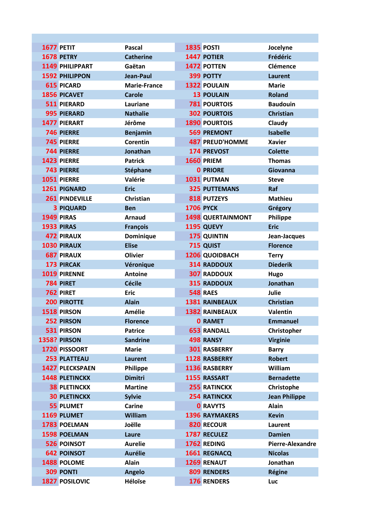| 1677 PETIT             | <b>Pascal</b>       | 1835 POSTI               | Jocelyne                |
|------------------------|---------------------|--------------------------|-------------------------|
| <b>1678 PETRY</b>      | <b>Catherine</b>    | <b>1447 POTIER</b>       | Frédéric                |
| 1149 PHILIPPART        | Gaëtan              | 1472 POTTEN              | Clémence                |
| <b>1592 PHILIPPON</b>  | Jean-Paul           | 399 POTTY                | <b>Laurent</b>          |
| <b>615 PICARD</b>      | <b>Marie-France</b> | <b>1322 POULAIN</b>      | <b>Marie</b>            |
| 1856 PICAVET           | <b>Carole</b>       | <b>13 POULAIN</b>        | <b>Roland</b>           |
| 511 PIERARD            | Lauriane            | <b>781 POURTOIS</b>      | <b>Baudouin</b>         |
| <b>995 PIERARD</b>     | <b>Nathalie</b>     | <b>302 POURTOIS</b>      | <b>Christian</b>        |
| 1477 PIERART           | Jérôme              | <b>1890 POURTOIS</b>     | Claudy                  |
| 746 PIERRE             | <b>Benjamin</b>     | <b>569 PREMONT</b>       | <b>Isabelle</b>         |
| <b>745 PIERRE</b>      | Corentin            | <b>487 PREUD'HOMME</b>   | <b>Xavier</b>           |
| <b>744 PIERRE</b>      | Jonathan            | <b>174 PREVOST</b>       | <b>Colette</b>          |
| 1423 PIERRE            | <b>Patrick</b>      | <b>1660 PRIEM</b>        | <b>Thomas</b>           |
| <b>743 PIERRE</b>      | Stéphane            | <b>0 PRIORE</b>          | Giovanna                |
| 1051 PIERRE            | Valérie             | 1031 PUTMAN              | <b>Steve</b>            |
| 1261 PIGNARD           | <b>Eric</b>         | <b>325 PUTTEMANS</b>     | Raf                     |
| 261 PINDEVILLE         | <b>Christian</b>    | <b>818 PUTZEYS</b>       | <b>Mathieu</b>          |
| <b>3 PIQUARD</b>       | <b>Ben</b>          | <b>1706 PYCK</b>         | Grégory                 |
| 1949 PIRAS             | <b>Arnaud</b>       | <b>1498 QUERTAINMONT</b> | Philippe                |
| <b>1933 PIRAS</b>      | <b>François</b>     | 1195 QUEVY               | <b>Eric</b>             |
| <b>472 PIRAUX</b>      | Dominique           | 175 QUINTIN              | Jean-Jacques            |
| 1030 PIRAUX            | <b>Elise</b>        | 715 QUIST                | <b>Florence</b>         |
| <b>687 PIRAUX</b>      | <b>Olivier</b>      | 1206 QUOIDBACH           | <b>Terry</b>            |
| 173 PIRCAK             | Véronique           | <b>314 RADDOUX</b>       | <b>Diederik</b>         |
| 1019 PIRENNE           | <b>Antoine</b>      | <b>307 RADDOUX</b>       | Hugo                    |
| 784 PIRET              | <b>Cécile</b>       | <b>315 RADDOUX</b>       | Jonathan                |
| 762 PIRET              | <b>Eric</b>         | <b>548 RAES</b>          | Julie                   |
| <b>200 PIROTTE</b>     | <b>Alain</b>        | <b>1381 RAINBEAUX</b>    | <b>Christian</b>        |
| 1518 PIRSON            | Amélie              | <b>1382 RAINBEAUX</b>    | <b>Valentin</b>         |
| 252 PIRSON             | <b>Florence</b>     | <b>0 RAMET</b>           | <b>Emmanuel</b>         |
| 531 PIRSON             | <b>Patrice</b>      | <b>653 RANDALL</b>       | Christopher             |
| <b>1358? PIRSON</b>    | <b>Sandrine</b>     | 498 RANSY                | <b>Virginie</b>         |
| 1720 PISSOORT          | <b>Marie</b>        | <b>301 RASBERRY</b>      | <b>Barry</b>            |
| <b>253 PLATTEAU</b>    | <b>Laurent</b>      | 1128 RASBERRY            | <b>Robert</b>           |
| <b>1427 PLECKSPAEN</b> | Philippe            | 1136 RASBERRY            | William                 |
| 1448 PLETINCKX         | <b>Dimitri</b>      | 1155 RASSART             | <b>Bernadette</b>       |
| <b>38 PLETINCKX</b>    | <b>Martine</b>      | <b>255 RATINCKX</b>      | Christophe              |
| <b>30 PLETINCKX</b>    | <b>Sylvie</b>       | <b>254 RATINCKX</b>      | <b>Jean Philippe</b>    |
| 55 PLUMET              | <b>Carine</b>       | <b>0 RAVYTS</b>          | <b>Alain</b>            |
| 1169 PLUMET            | William             | <b>1396 RAYMAKERS</b>    | <b>Kevin</b>            |
| 1783 POELMAN           | Joëlle              | 820 RECOUR               | Laurent                 |
| 1598 POELMAN           | Laure               | 1787 RECULEZ             | <b>Damien</b>           |
| <b>526 POINSOT</b>     | <b>Aurelie</b>      | 1762 REDING              | <b>Pierre-Alexandre</b> |
| <b>642 POINSOT</b>     | <b>Aurélie</b>      | 1661 REGNACQ             | <b>Nicolas</b>          |
| 1488 POLOME            | <b>Alain</b>        | <b>1269 RENAUT</b>       | Jonathan                |
| <b>309 PONTI</b>       | <b>Angelo</b>       | 809 RENDERS              | <b>Régine</b>           |
| 1827 POSILOVIC         | Héloïse             | 176 RENDERS              | Luc                     |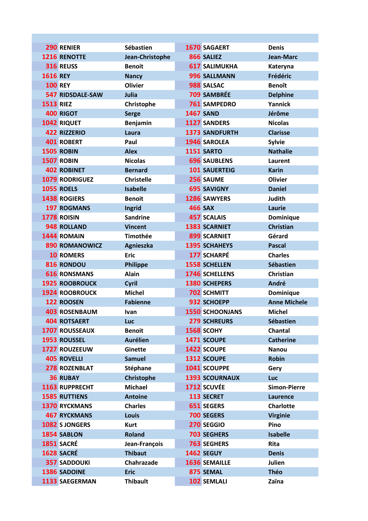| 290 RENIER              | Sébastien         | <b>1670 SAGAERT</b>    | <b>Denis</b>        |
|-------------------------|-------------------|------------------------|---------------------|
| <b>1216 RENOTTE</b>     | Jean-Christophe   | 866 SALIEZ             | <b>Jean-Marc</b>    |
| 316 REUSS               | <b>Benoit</b>     | <b>617 SALIMUKHA</b>   | Kateryna            |
| <b>1616 REY</b>         | <b>Nancy</b>      | 996 SALLMANN           | Frédéric            |
| <b>100 REY</b>          | <b>Olivier</b>    | 988 SALSAC             | <b>Benoît</b>       |
| <b>547 RIDSDALE-SAW</b> | Julia             | 709 SAMBRÉE            | <b>Delphine</b>     |
| <b>1513 RIEZ</b>        | Christophe        | <b>761 SAMPEDRO</b>    | Yannick             |
| <b>400 RIGOT</b>        | <b>Serge</b>      | <b>1467 SAND</b>       | Jérôme              |
| 1042 RIQUET             | Benjamin          | <b>1127 SANDERS</b>    | <b>Nicolas</b>      |
| <b>422 RIZZERIO</b>     | Laura             | 1373 SANDFURTH         | <b>Clarisse</b>     |
| <b>401 ROBERT</b>       | Paul              | 1946 SAROLEA           | <b>Sylvie</b>       |
| 1505 ROBIN              | <b>Alex</b>       | <b>1151 SARTO</b>      | <b>Nathalie</b>     |
| 1507 ROBIN              | <b>Nicolas</b>    | <b>696 SAUBLENS</b>    | Laurent             |
| <b>402 ROBINET</b>      | <b>Bernard</b>    | <b>101 SAUERTEIG</b>   | <b>Karin</b>        |
| <b>1079 RODRIGUEZ</b>   | <b>Christelle</b> | 256 SAUME              | <b>Olivier</b>      |
| <b>1055 ROELS</b>       | <b>Isabelle</b>   | <b>695 SAVIGNY</b>     | <b>Daniel</b>       |
| <b>1438 ROGIERS</b>     | <b>Benoit</b>     | <b>1286 SAWYERS</b>    | <b>Judith</b>       |
| <b>197 ROGMANS</b>      | Ingrid            | <b>466 SAX</b>         | Laurie              |
| 1778 ROISIN             | <b>Sandrine</b>   | <b>457 SCALAIS</b>     | Dominique           |
| <b>948 ROLLAND</b>      | <b>Vincent</b>    | <b>1383 SCARNIET</b>   | <b>Christian</b>    |
| 1444 ROMAIN             | <b>Timothée</b>   | 899 SCARNIET           | Gérard              |
| <b>890 ROMANOWICZ</b>   | Agnieszka         | <b>1395 SCHAHEYS</b>   | <b>Pascal</b>       |
| <b>10 ROMERS</b>        | <b>Eric</b>       | 177 SCHARPÉ            | <b>Charles</b>      |
| 816 RONDOU              | <b>Philippe</b>   | <b>1558 SCHELLEN</b>   | <b>Sébastien</b>    |
| <b>616 RONSMANS</b>     | <b>Alain</b>      | 1746 SCHELLENS         | Christian           |
| <b>1925 ROOBROUCK</b>   | Cyril             | 1380 SCHEPERS          | André               |
| <b>1924 ROOBROUCK</b>   | <b>Michel</b>     | <b>702 SCHMITT</b>     | Dominique           |
| 122 ROOSEN              | <b>Fabienne</b>   | 932 SCHOEPP            | <b>Anne Michele</b> |
| <b>403 ROSENBAUM</b>    | Ivan              | <b>1550 SCHOONJANS</b> | <b>Michel</b>       |
| <b>404 ROTSAERT</b>     | Luc               | <b>279 SCHREURS</b>    | <b>Sébastien</b>    |
| <b>1707 ROUSSEAUX</b>   | <b>Benoit</b>     | 1568 SCOHY             | <b>Chantal</b>      |
| 1953 ROUSSEL            | <b>Aurélien</b>   | 1471 SCOUPE            | <b>Catherine</b>    |
| 1727 ROUZEEUW           | <b>Ginette</b>    | 1422 SCOUPE            | <b>Nanou</b>        |
| <b>405 ROVELLI</b>      | <b>Samuel</b>     | 1312 SCOUPE            | <b>Robin</b>        |
| 278 ROZENBLAT           | Stéphane          | 1041 SCOUPPE           | Gery                |
| <b>36 RUBAY</b>         | Christophe        | <b>1393 SCOURNAUX</b>  | <b>Luc</b>          |
| 1163 RUPPRECHT          | <b>Michael</b>    | 1712 SCUVÉE            | <b>Simon-Pierre</b> |
| <b>1585 RUTTIENS</b>    | <b>Antoine</b>    | 113 SECRET             | Laurence            |
| <b>1370 RYCKMANS</b>    | <b>Charles</b>    | 651 SEGERS             | <b>Charlotte</b>    |
| <b>467 RYCKMANS</b>     | <b>Louis</b>      | 700 SEGERS             | <b>Virginie</b>     |
| 1082 SJONGERS           | <b>Kurt</b>       | 270 SEGGIO             | Pino                |
| 1854 SABLON             | <b>Roland</b>     | <b>703 SEGHERS</b>     | <b>Isabelle</b>     |
| 1851 SACRÉ              | Jean-François     | <b>763 SEGHERS</b>     | <b>Rita</b>         |
| 1628 SACRÉ              | <b>Thibaut</b>    | 1462 SEGUY             | <b>Denis</b>        |
| <b>357 SADDOUKI</b>     | Chahrazade        | 1636 SEMAILLE          | <b>Julien</b>       |
| 1386 SADOINE            | <b>Eric</b>       | 875 SEMAL              | <b>Théo</b>         |
| 1133 SAEGERMAN          | <b>Thibault</b>   | 102 SEMLALI            | Zaïna               |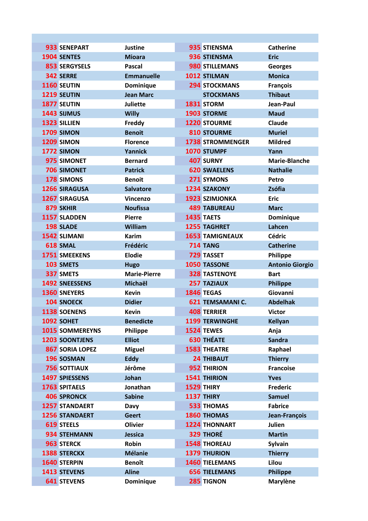| 933 SENEPART           | <b>Justine</b>      | 935 STIENSMA            | <b>Catherine</b>       |
|------------------------|---------------------|-------------------------|------------------------|
| 1904 SENTES            | <b>Mioara</b>       | 936 STIENSMA            | <b>Eric</b>            |
| <b>853 SERGYSELS</b>   | <b>Pascal</b>       | 980 STILLEMANS          | Georges                |
| 342 SERRE              | <b>Emmanuelle</b>   | 1012 STILMAN            | <b>Monica</b>          |
| 1160 SEUTIN            | Dominique           | <b>294 STOCKMANS</b>    | <b>François</b>        |
| 1219 SEUTIN            | <b>Jean Marc</b>    | <b>STOCKMANS</b>        | <b>Thibaut</b>         |
| 1877 SEUTIN            | <b>Juliette</b>     | 1831 STORM              | Jean-Paul              |
| 1443 SIJMUS            | <b>Willy</b>        | 1903 STORME             | <b>Maud</b>            |
| 1323 SILLIEN           | Freddy              | 1220 STOURME            | Claude                 |
| 1709 SIMON             | <b>Benoit</b>       | <b>810 STOURME</b>      | <b>Muriel</b>          |
| 1209 SIMON             | <b>Florence</b>     | <b>1738 STROMMENGER</b> | <b>Mildred</b>         |
| 1772 SIMON             | Yannick             | 1070 STUMPF             | Yann                   |
| 975 SIMONET            | <b>Bernard</b>      | 407 SURNY               | <b>Marie-Blanche</b>   |
| <b>706 SIMONET</b>     | <b>Patrick</b>      | <b>620 SWAELENS</b>     | <b>Nathalie</b>        |
| 178 SIMONS             | <b>Benoit</b>       | 271 SYMONS              | Petro                  |
| 1266 SIRAGUSA          | <b>Salvatore</b>    | 1234 SZAKONY            | Zsófia                 |
| <b>1267 SIRAGUSA</b>   | Vincenzo            | 1923 SZIMJONKA          | <b>Eric</b>            |
| 879 SKHIR              | <b>Noufissa</b>     | <b>489 TABUREAU</b>     | <b>Marc</b>            |
| 1157 SLADDEN           | <b>Pierre</b>       | <b>1435 TAETS</b>       | Dominique              |
| 198 SLADE              | William             | <b>1255 TAGHRET</b>     | Lahcen                 |
| 1542 SLIMANI           | <b>Karim</b>        | <b>1653 TAMIGNEAUX</b>  | <b>Cédric</b>          |
| 618 SMAL               | Frédéric            | <b>714 TANG</b>         | <b>Catherine</b>       |
| <b>1751 SMEEKENS</b>   | <b>Elodie</b>       | <b>729 TASSET</b>       | Philippe               |
| 103 SMETS              | <b>Hugo</b>         | 1050 TASSONE            | <b>Antonio Giorgio</b> |
| 337 SMETS              | <b>Marie-Pierre</b> | <b>328 TASTENOYE</b>    | <b>Bart</b>            |
| 1492 SNEESSENS         | Michaël             | <b>257 TAZIAUX</b>      | <b>Philippe</b>        |
| <b>1360 SNEYERS</b>    | <b>Kevin</b>        | <b>1846 TEGAS</b>       | Giovanni               |
| <b>104 SNOECK</b>      | <b>Didier</b>       | 621 TEMSAMANI C.        | <b>Abdelhak</b>        |
| 1138 SOENENS           | <b>Kevin</b>        | <b>408 TERRIER</b>      | <b>Victor</b>          |
| 1092 SOHET             | <b>Benedicte</b>    | <b>1199 TERWINGHE</b>   | <b>Kellyan</b>         |
| <b>1015 SOMMEREYNS</b> | Philippe            | <b>1524 TEWES</b>       | Anja                   |
| 1203 SOONTJENS         | <b>Elliot</b>       | <b>630 THÉATE</b>       | <b>Sandra</b>          |
| <b>867 SORIA LOPEZ</b> | <b>Miguel</b>       | <b>1583 THEATRE</b>     | Raphael                |
| 196 SOSMAN             | <b>Eddy</b>         | <b>24 THIBAUT</b>       | <b>Thierry</b>         |
| <b>756 SOTTIAUX</b>    | Jérôme              | 952 THIRION             | <b>Francoise</b>       |
| 1497 SPIESSENS         | Johan               | 1541 THIRION            | <b>Yves</b>            |
| <b>1763 SPITAELS</b>   | Jonathan            | <b>1529 THIRY</b>       | <b>Frederic</b>        |
| <b>406 SPRONCK</b>     | <b>Sabine</b>       | 1137 THIRY              | <b>Samuel</b>          |
| <b>1257 STANDAERT</b>  | Davy                | <b>533 THOMAS</b>       | <b>Fabrice</b>         |
| <b>1256 STANDAERT</b>  | <b>Geert</b>        | <b>1860 THOMAS</b>      | Jean-François          |
| 619 STEELS             | <b>Olivier</b>      | <b>1224 THONNART</b>    | <b>Julien</b>          |
| 934 STEHMANN           | <b>Jessica</b>      | 329 THORÉ               | <b>Martin</b>          |
| 963 STERCK             | Robin               | <b>1548 THOREAU</b>     | <b>Sylvain</b>         |
| <b>1388 STERCKX</b>    | <b>Mélanie</b>      | <b>1379 THURION</b>     | <b>Thierry</b>         |
| 1640 STERPIN           | <b>Benoît</b>       | <b>1460 TIELEMANS</b>   | Lilou                  |
| 1413 STEVENS           | <b>Aline</b>        | <b>656 TIELEMANS</b>    | <b>Philippe</b>        |
| <b>641 STEVENS</b>     | Dominique           | 285 TIGNON              | <b>Marylène</b>        |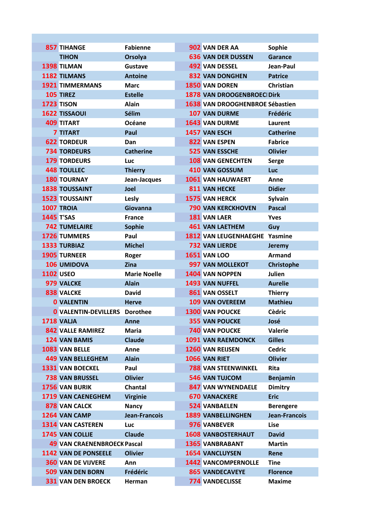| <b>857 TIHANGE</b>          | <b>Fabienne</b>      |                                    |                            | Sophie                                                                                                                                                                                                                                                                                                                                                                                                                                                                                                                                                                                                                                                                                                                                                                                                                                                                                                                                                                                                                                                                                      |
|-----------------------------|----------------------|------------------------------------|----------------------------|---------------------------------------------------------------------------------------------------------------------------------------------------------------------------------------------------------------------------------------------------------------------------------------------------------------------------------------------------------------------------------------------------------------------------------------------------------------------------------------------------------------------------------------------------------------------------------------------------------------------------------------------------------------------------------------------------------------------------------------------------------------------------------------------------------------------------------------------------------------------------------------------------------------------------------------------------------------------------------------------------------------------------------------------------------------------------------------------|
| <b>TIHON</b>                | Orsolya              |                                    |                            | <b>Garance</b>                                                                                                                                                                                                                                                                                                                                                                                                                                                                                                                                                                                                                                                                                                                                                                                                                                                                                                                                                                                                                                                                              |
| <b>1398 TILMAN</b>          | Gustave              |                                    |                            | Jean-Paul                                                                                                                                                                                                                                                                                                                                                                                                                                                                                                                                                                                                                                                                                                                                                                                                                                                                                                                                                                                                                                                                                   |
| 1182 TILMANS                | <b>Antoine</b>       |                                    |                            | <b>Patrice</b>                                                                                                                                                                                                                                                                                                                                                                                                                                                                                                                                                                                                                                                                                                                                                                                                                                                                                                                                                                                                                                                                              |
| <b>1921 TIMMERMANS</b>      | <b>Marc</b>          |                                    |                            | <b>Christian</b>                                                                                                                                                                                                                                                                                                                                                                                                                                                                                                                                                                                                                                                                                                                                                                                                                                                                                                                                                                                                                                                                            |
| 105 TIREZ                   | <b>Estelle</b>       |                                    |                            |                                                                                                                                                                                                                                                                                                                                                                                                                                                                                                                                                                                                                                                                                                                                                                                                                                                                                                                                                                                                                                                                                             |
| <b>1723 TISON</b>           | <b>Alain</b>         |                                    |                            |                                                                                                                                                                                                                                                                                                                                                                                                                                                                                                                                                                                                                                                                                                                                                                                                                                                                                                                                                                                                                                                                                             |
| <b>1622 TISSAOUI</b>        | Sélim                |                                    |                            | Frédéric                                                                                                                                                                                                                                                                                                                                                                                                                                                                                                                                                                                                                                                                                                                                                                                                                                                                                                                                                                                                                                                                                    |
| <b>409 TITART</b>           | <b>Océane</b>        |                                    |                            | Laurent                                                                                                                                                                                                                                                                                                                                                                                                                                                                                                                                                                                                                                                                                                                                                                                                                                                                                                                                                                                                                                                                                     |
| <b>7 TITART</b>             | Paul                 |                                    |                            | <b>Catherine</b>                                                                                                                                                                                                                                                                                                                                                                                                                                                                                                                                                                                                                                                                                                                                                                                                                                                                                                                                                                                                                                                                            |
| <b>622 TORDEUR</b>          | Dan                  |                                    |                            | <b>Fabrice</b>                                                                                                                                                                                                                                                                                                                                                                                                                                                                                                                                                                                                                                                                                                                                                                                                                                                                                                                                                                                                                                                                              |
| <b>734 TORDEURS</b>         | <b>Catherine</b>     |                                    |                            | <b>Olivier</b>                                                                                                                                                                                                                                                                                                                                                                                                                                                                                                                                                                                                                                                                                                                                                                                                                                                                                                                                                                                                                                                                              |
| <b>179 TORDEURS</b>         | <b>Luc</b>           |                                    |                            | <b>Serge</b>                                                                                                                                                                                                                                                                                                                                                                                                                                                                                                                                                                                                                                                                                                                                                                                                                                                                                                                                                                                                                                                                                |
| <b>448 TOULLEC</b>          | <b>Thierry</b>       |                                    |                            | Luc                                                                                                                                                                                                                                                                                                                                                                                                                                                                                                                                                                                                                                                                                                                                                                                                                                                                                                                                                                                                                                                                                         |
| <b>180 TOURNAY</b>          | Jean-Jacques         |                                    |                            | Anne                                                                                                                                                                                                                                                                                                                                                                                                                                                                                                                                                                                                                                                                                                                                                                                                                                                                                                                                                                                                                                                                                        |
| <b>1838 TOUSSAINT</b>       | Joel                 |                                    |                            | <b>Didier</b>                                                                                                                                                                                                                                                                                                                                                                                                                                                                                                                                                                                                                                                                                                                                                                                                                                                                                                                                                                                                                                                                               |
| <b>1523 TOUSSAINT</b>       | Lesly                |                                    |                            | <b>Sylvain</b>                                                                                                                                                                                                                                                                                                                                                                                                                                                                                                                                                                                                                                                                                                                                                                                                                                                                                                                                                                                                                                                                              |
| 1007 TROIA                  | Giovanna             |                                    |                            | <b>Pascal</b>                                                                                                                                                                                                                                                                                                                                                                                                                                                                                                                                                                                                                                                                                                                                                                                                                                                                                                                                                                                                                                                                               |
| <b>1445 T'SAS</b>           | <b>France</b>        |                                    |                            | <b>Yves</b>                                                                                                                                                                                                                                                                                                                                                                                                                                                                                                                                                                                                                                                                                                                                                                                                                                                                                                                                                                                                                                                                                 |
| <b>742 TUMELAIRE</b>        | <b>Sophie</b>        |                                    |                            | Guy                                                                                                                                                                                                                                                                                                                                                                                                                                                                                                                                                                                                                                                                                                                                                                                                                                                                                                                                                                                                                                                                                         |
| <b>1726 TUMMERS</b>         | Paul                 |                                    |                            |                                                                                                                                                                                                                                                                                                                                                                                                                                                                                                                                                                                                                                                                                                                                                                                                                                                                                                                                                                                                                                                                                             |
| <b>1333 TURBIAZ</b>         | <b>Michel</b>        |                                    |                            | Jeremy                                                                                                                                                                                                                                                                                                                                                                                                                                                                                                                                                                                                                                                                                                                                                                                                                                                                                                                                                                                                                                                                                      |
| <b>1905 TURNEER</b>         | Roger                |                                    |                            | <b>Armand</b>                                                                                                                                                                                                                                                                                                                                                                                                                                                                                                                                                                                                                                                                                                                                                                                                                                                                                                                                                                                                                                                                               |
| 106 UMIDOVA                 | <b>Zina</b>          |                                    |                            | Christophe                                                                                                                                                                                                                                                                                                                                                                                                                                                                                                                                                                                                                                                                                                                                                                                                                                                                                                                                                                                                                                                                                  |
| <b>1102 USEO</b>            | <b>Marie Noelle</b>  |                                    |                            | <b>Julien</b>                                                                                                                                                                                                                                                                                                                                                                                                                                                                                                                                                                                                                                                                                                                                                                                                                                                                                                                                                                                                                                                                               |
| 979 VALCKE                  | <b>Alain</b>         |                                    |                            | <b>Aurelie</b>                                                                                                                                                                                                                                                                                                                                                                                                                                                                                                                                                                                                                                                                                                                                                                                                                                                                                                                                                                                                                                                                              |
| <b>838 VALCKE</b>           | <b>David</b>         |                                    |                            | <b>Thierry</b>                                                                                                                                                                                                                                                                                                                                                                                                                                                                                                                                                                                                                                                                                                                                                                                                                                                                                                                                                                                                                                                                              |
| <b>0 VALENTIN</b>           | <b>Herve</b>         |                                    |                            | <b>Mathieu</b>                                                                                                                                                                                                                                                                                                                                                                                                                                                                                                                                                                                                                                                                                                                                                                                                                                                                                                                                                                                                                                                                              |
| <b>0 VALENTIN-DEVILLERS</b> | <b>Dorothee</b>      |                                    |                            | <b>Cèdric</b>                                                                                                                                                                                                                                                                                                                                                                                                                                                                                                                                                                                                                                                                                                                                                                                                                                                                                                                                                                                                                                                                               |
| 1718 VALJA                  | Anne                 |                                    |                            | José                                                                                                                                                                                                                                                                                                                                                                                                                                                                                                                                                                                                                                                                                                                                                                                                                                                                                                                                                                                                                                                                                        |
| <b>842 VALLE RAMIREZ</b>    | <b>Maria</b>         |                                    |                            | Valerie                                                                                                                                                                                                                                                                                                                                                                                                                                                                                                                                                                                                                                                                                                                                                                                                                                                                                                                                                                                                                                                                                     |
| 124 VAN BAMIS               | <b>Claude</b>        |                                    |                            | <b>Gilles</b>                                                                                                                                                                                                                                                                                                                                                                                                                                                                                                                                                                                                                                                                                                                                                                                                                                                                                                                                                                                                                                                                               |
| 1083 VAN BELLE              | Anne                 |                                    |                            | <b>Cedric</b>                                                                                                                                                                                                                                                                                                                                                                                                                                                                                                                                                                                                                                                                                                                                                                                                                                                                                                                                                                                                                                                                               |
| <b>449 VAN BELLEGHEM</b>    | <b>Alain</b>         |                                    |                            | <b>Olivier</b>                                                                                                                                                                                                                                                                                                                                                                                                                                                                                                                                                                                                                                                                                                                                                                                                                                                                                                                                                                                                                                                                              |
| <b>1331 VAN BOECKEL</b>     | Paul                 |                                    |                            | Rita                                                                                                                                                                                                                                                                                                                                                                                                                                                                                                                                                                                                                                                                                                                                                                                                                                                                                                                                                                                                                                                                                        |
| <b>738 VAN BRUSSEL</b>      | <b>Olivier</b>       |                                    |                            | <b>Benjamin</b>                                                                                                                                                                                                                                                                                                                                                                                                                                                                                                                                                                                                                                                                                                                                                                                                                                                                                                                                                                                                                                                                             |
| 1756 VAN BURIK              | Chantal              |                                    |                            | <b>Dimitry</b>                                                                                                                                                                                                                                                                                                                                                                                                                                                                                                                                                                                                                                                                                                                                                                                                                                                                                                                                                                                                                                                                              |
| 1719 VAN CAENEGHEM          | <b>Virginie</b>      |                                    |                            | <b>Eric</b>                                                                                                                                                                                                                                                                                                                                                                                                                                                                                                                                                                                                                                                                                                                                                                                                                                                                                                                                                                                                                                                                                 |
| 878 VAN CALCK               | <b>Nancy</b>         |                                    |                            | <b>Berengere</b>                                                                                                                                                                                                                                                                                                                                                                                                                                                                                                                                                                                                                                                                                                                                                                                                                                                                                                                                                                                                                                                                            |
| 1264 VAN CAMP               | <b>Jean-Francois</b> |                                    |                            | Jean-Francois                                                                                                                                                                                                                                                                                                                                                                                                                                                                                                                                                                                                                                                                                                                                                                                                                                                                                                                                                                                                                                                                               |
| <b>1314 VAN CASTEREN</b>    | Luc                  |                                    |                            | <b>Lise</b>                                                                                                                                                                                                                                                                                                                                                                                                                                                                                                                                                                                                                                                                                                                                                                                                                                                                                                                                                                                                                                                                                 |
| 1745 VAN COLLIE             | <b>Claude</b>        |                                    |                            | <b>David</b>                                                                                                                                                                                                                                                                                                                                                                                                                                                                                                                                                                                                                                                                                                                                                                                                                                                                                                                                                                                                                                                                                |
|                             |                      |                                    |                            | <b>Martin</b>                                                                                                                                                                                                                                                                                                                                                                                                                                                                                                                                                                                                                                                                                                                                                                                                                                                                                                                                                                                                                                                                               |
| 1142 VAN DE PONSEELE        | <b>Olivier</b>       |                                    | <b>1654 VANCLUYSEN</b>     | Rene                                                                                                                                                                                                                                                                                                                                                                                                                                                                                                                                                                                                                                                                                                                                                                                                                                                                                                                                                                                                                                                                                        |
|                             |                      |                                    |                            |                                                                                                                                                                                                                                                                                                                                                                                                                                                                                                                                                                                                                                                                                                                                                                                                                                                                                                                                                                                                                                                                                             |
| <b>360 VAN DE VIJVERE</b>   | Ann                  |                                    | <b>1442 VANCOMPERNOLLE</b> | <b>Tine</b>                                                                                                                                                                                                                                                                                                                                                                                                                                                                                                                                                                                                                                                                                                                                                                                                                                                                                                                                                                                                                                                                                 |
| <b>509 VAN DEN BORN</b>     | Frédéric             |                                    | <b>865 VANDECAVEYE</b>     | <b>Florence</b>                                                                                                                                                                                                                                                                                                                                                                                                                                                                                                                                                                                                                                                                                                                                                                                                                                                                                                                                                                                                                                                                             |
|                             |                      | <b>49 VAN CRAENENBROECK Pascal</b> |                            | 902 VAN DER AA<br><b>636 VAN DER DUSSEN</b><br><b>492 VAN DESSEL</b><br><b>832 VAN DONGHEN</b><br><b>1850 VAN DOREN</b><br>1878 VAN DROOGENBROECI Dirk<br>1638 VAN DROOGHENBROE Sébastien<br><b>107 VAN DURME</b><br><b>1643 VAN DURME</b><br>1457 VAN ESCH<br>822 VAN ESPEN<br><b>525 VAN ESSCHE</b><br><b>108 VAN GENECHTEN</b><br><b>410 VAN GOSSUM</b><br>1061 VAN HAUWAERT<br><b>811 VAN HECKE</b><br><b>1575 VAN HERCK</b><br><b>790 VAN KERCKHOVEN</b><br>181 VAN LAER<br><b>461 VAN LAETHEM</b><br>1812 VAN LEUGENHAEGHE Yasmine<br><b>732 VAN LIERDE</b><br><b>1651 VAN LOO</b><br><b>997 VAN MOLLEKOT</b><br>1404 VAN NOPPEN<br>1493 VAN NUFFEL<br>861 VAN OSSELT<br><b>109 VAN OVEREEM</b><br><b>1300 VAN POUCKE</b><br><b>355 VAN POUCKE</b><br><b>740 VAN POUCKE</b><br><b>1091 VAN RAEMDONCK</b><br>1260 VAN REIJSEN<br>1066 VAN RIET<br><b>788 VAN STEENWINKEL</b><br><b>546 VAN TUJCOM</b><br><b>847 VAN WYNENDAELE</b><br><b>670 VANACKERE</b><br><b>524 VANBAELEN</b><br><b>1889 VANBELLINGHEN</b><br>976 VANBEVER<br><b>1608 VANBOSTERHAUT</b><br><b>1365 VANBRABANT</b> |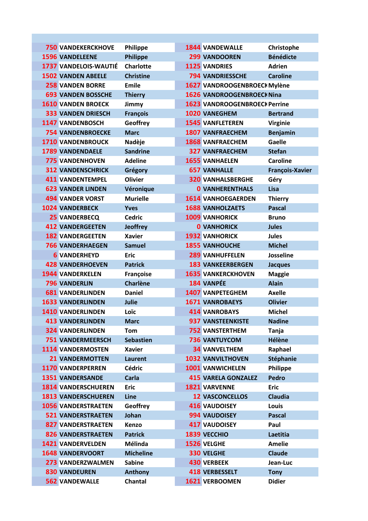| <b>750 VANDEKERCKHOVE</b>    | Philippe         | <b>1844 VANDEWALLE</b>               | Christophe             |
|------------------------------|------------------|--------------------------------------|------------------------|
| <b>1596 VANDELEENE</b>       | <b>Philippe</b>  | <b>299 VANDOOREN</b>                 | <b>Bénédicte</b>       |
| <b>1737 VANDELOIS-WAUTIÉ</b> | <b>Charlotte</b> | <b>1125 VANDRIES</b>                 | <b>Adrien</b>          |
| <b>1502 VANDEN ABEELE</b>    | <b>Christine</b> | <b>794 VANDRIESSCHE</b>              | <b>Caroline</b>        |
| <b>258 VANDEN BORRE</b>      | <b>Emile</b>     | 1627 VANDROOGENBROECI Mylène         |                        |
| <b>693 VANDEN BOSSCHE</b>    | <b>Thierry</b>   | 1626 VANDROOGENBROECI Nina           |                        |
| <b>1610 VANDEN BROECK</b>    | Jimmy            | <b>1623 VANDROOGENBROECH Perrine</b> |                        |
| <b>333 VANDEN DRIESCH</b>    | <b>François</b>  | 1020 VANEGHEM                        | <b>Bertrand</b>        |
| <b>1147 VANDENBOSCH</b>      | Geoffrey         | <b>1545 VANFLETEREN</b>              | <b>Virginie</b>        |
| <b>754 VANDENBROECKE</b>     | <b>Marc</b>      | <b>1807 VANFRAECHEM</b>              | <b>Benjamin</b>        |
| <b>1710 VANDENBROUCK</b>     | Nadèje           | <b>1868 VANFRAECHEM</b>              | <b>Gaelle</b>          |
| <b>1789 VANDENDAELE</b>      | <b>Sandrine</b>  | <b>327 VANFRAECHEM</b>               | <b>Stefan</b>          |
| <b>775 VANDENHOVEN</b>       | <b>Adeline</b>   | <b>1655 VANHAELEN</b>                | <b>Caroline</b>        |
| <b>312 VANDENSCHRICK</b>     | Grégory          | <b>657 VANHALLE</b>                  | <b>François-Xavier</b> |
| <b>411 VANDENTEMPEL</b>      | <b>Olivier</b>   | <b>320 VANHALSBERGHE</b>             | Géry                   |
| <b>623 VANDER LINDEN</b>     | Véronique        | <b>0 VANHERENTHALS</b>               | Lisa                   |
| <b>494 VANDER VORST</b>      | <b>Murielle</b>  | <b>1614 VANHOEGAERDEN</b>            | <b>Thierry</b>         |
| <b>1024 VANDERBECK</b>       | <b>Yves</b>      | <b>1688 VANHOLZAETS</b>              | <b>Pascal</b>          |
| <b>25 VANDERBECQ</b>         | <b>Cedric</b>    | <b>1009 VANHORICK</b>                | <b>Bruno</b>           |
| <b>412 VANDERGEETEN</b>      | <b>Jeoffrey</b>  | <b>0 VANHORICK</b>                   | <b>Jules</b>           |
| <b>182 VANDERGEETEN</b>      | <b>Xavier</b>    | <b>1932 VANHORICK</b>                | <b>Jules</b>           |
| <b>766 VANDERHAEGEN</b>      | <b>Samuel</b>    | <b>1855 VANHOUCHE</b>                | <b>Michel</b>          |
| <b>6 VANDERHEYD</b>          | <b>Eric</b>      | <b>289 VANHUFFELEN</b>               | <b>Josseline</b>       |
| <b>428 VANDERHOEVEN</b>      | <b>Patrick</b>   | <b>183 VANKEERBERGEN</b>             | <b>Jacques</b>         |
| <b>1944 VANDERKELEN</b>      | Françoise        | <b>1635 VANKERCKHOVEN</b>            | <b>Maggie</b>          |
| <b>796 VANDERLIN</b>         | <b>Charlène</b>  | 184 VANPÉE                           | <b>Alain</b>           |
| <b>681 VANDERLINDEN</b>      | <b>Daniel</b>    | <b>1407 VANPETEGHEM</b>              | <b>Axelle</b>          |
| <b>1633 VANDERLINDEN</b>     | Julie            | <b>1671 VANROBAEYS</b>               | <b>Olivier</b>         |
| <b>1410 VANDERLINDEN</b>     | Loïc             | <b>414 VANROBAYS</b>                 | <b>Michel</b>          |
| <b>413 VANDERLINDEN</b>      | <b>Marc</b>      | <b>937 VANSTEENKISTE</b>             | <b>Nadine</b>          |
| <b>324 VANDERLINDEN</b>      | Tom              | <b>752 VANSTERTHEM</b>               | Tanja                  |
| <b>751 VANDERMEERSCH</b>     | <b>Sebastien</b> | <b>736 VANTUYCOM</b>                 | Hélène                 |
| <b>1114 VANDERMOSTEN</b>     | <b>Xavier</b>    | <b>34 VANVELTHEM</b>                 | Raphael                |
| <b>21 VANDERMOTTEN</b>       | Laurent          | <b>1032 VANVILTHOVEN</b>             | <b>Stéphanie</b>       |
| 1170 VANDERPERREN            | <b>Cédric</b>    | <b>1001 VANWICHELEN</b>              | <b>Philippe</b>        |
| <b>1351 VANDERSANDE</b>      | <b>Carla</b>     | <b>415 VARELA GONZALEZ</b>           | <b>Pedro</b>           |
| <b>1814 VANDERSCHUEREN</b>   | <b>Eric</b>      | <b>1821 VARVENNE</b>                 | <b>Eric</b>            |
| <b>1813 VANDERSCHUEREN</b>   | Line             | <b>12 VASCONCELLOS</b>               | <b>Claudia</b>         |
| <b>1056 VANDERSTRAETEN</b>   | Geoffrey         | <b>416 VAUDOISEY</b>                 | Louis                  |
| <b>521 VANDERSTRAETEN</b>    | Johan            | 994 VAUDOISEY                        | <b>Pascal</b>          |
| <b>827 VANDERSTRAETEN</b>    | Kenzo            | <b>417 VAUDOISEY</b>                 | Paul                   |
| <b>826 VANDERSTRAETEN</b>    | <b>Patrick</b>   | 1839 VECCHIO                         | Laetitia               |
| <b>1421 VANDERVELDEN</b>     | Mélinda          | 1526 VELGHE                          | <b>Amelie</b>          |
| <b>1648 VANDERVOORT</b>      | <b>Micheline</b> | <b>330 VELGHE</b>                    | <b>Claude</b>          |
| <b>273 VANDERZWALMEN</b>     | <b>Sabine</b>    | <b>430 VERBEEK</b>                   | Jean-Luc               |
| <b>830 VANDEUREN</b>         | <b>Anthony</b>   | <b>418 VERBESSELT</b>                | <b>Tony</b>            |
| <b>562 VANDEWALLE</b>        | Chantal          | 1621 VERBOOMEN                       | <b>Didier</b>          |